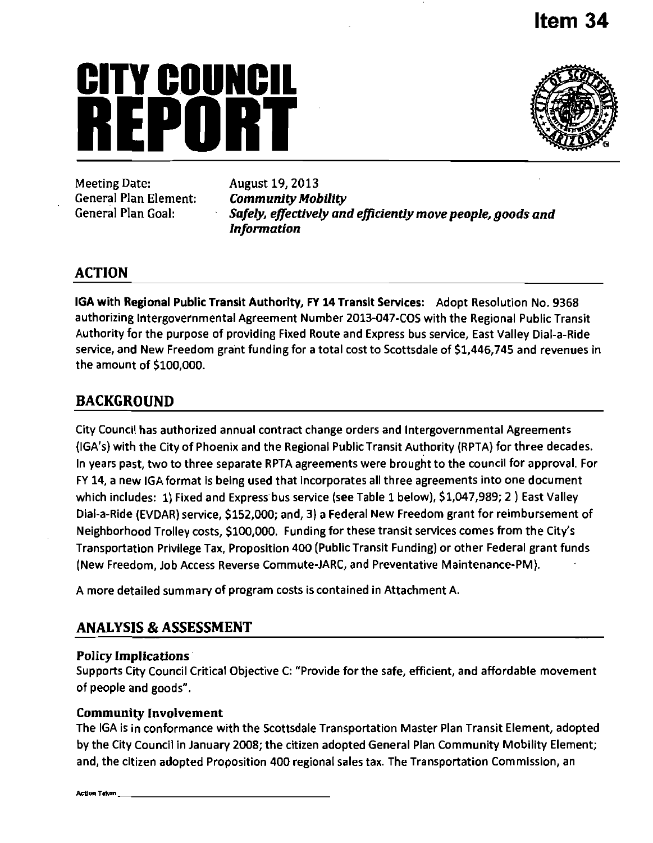# **Item 34**

# **CITY COUNCIl**  March 19, 2013



Meeting Date: August 19, 2013 *General Plan Element: Community Mobility* 

*General Plan Goal: Safely, effectively and efficiently move people, goods and Information* 

# **ACTION**

IGA with Regional Public Transit Authority, FY 14 Transit Services: Adopt Resolution No. 9368 authorizing Intergovernmental Agreement Number 2013-047-COS with the Regional Public Transit Authority for the purpose of providing Fixed Route and Express bus service, East Valley Dial-a-Rlde service, and New Freedom grant funding for a total cost to Scottsdale of \$1,446,745 and revenues In the amount of \$100,000.

# **BACKGROUND**

City Council has authorized annual contract change orders and Intergovernmental Agreements (IGA's) with the City of Phoenix and the Regional Public Transit Authority (RPTA) for three decades. In years past, two to three separate RPTA agreements were brought to the council for approval. For FY 14, a new IGA format is being used that incorporates all three agreements into one document which includes: 1) Fixed and Express bus service (see Table 1 below), \$1,047,989; 2 ) East Valley Dial-a-Ride (EVDAR) service, \$152,000; and, 3) a Federal New Freedom grant for reimbursement of Neighborhood Trolley costs, \$100,000. Funding for these transit services comes from the City's Transportation Privilege Tax, Proposition 400 (Public Transit Funding) or other Federal grant funds (New Freedom, Job Access Reverse Commute-JARC, and Preventative Maintenance-PM).

A more detailed summary of program costs is contained in Attachment A.

# **ANALYSIS & ASSESSMENT**

# **Policy Implications**

Supports City Council Critical Objective C: "Provide for the safe, efficient, and affordable movement of people and goods".

# **Community Involvement**

The IGA is in conformance with the Scottsdale Transportation Master Plan Transit Element, adopted by the City Council in January 2008; the citizen adopted General Plan Community Mobility Element; and, the citizen adopted Proposition 400 regional sales tax. The Transportation Commission, an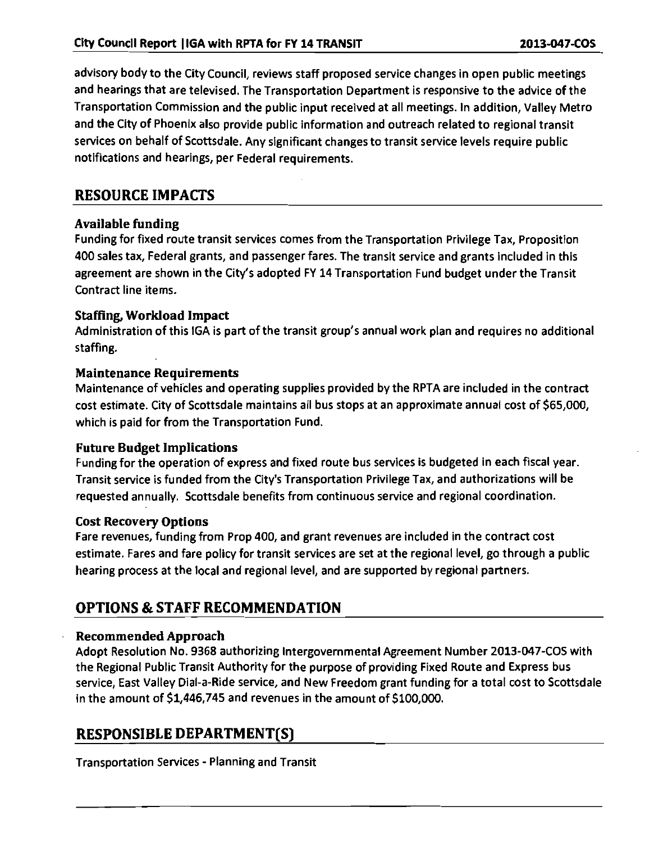advisory body to the City Council, reviews staff proposed service changes in open public meetings and hearings that are televised. The Transportation Department is responsive to the advice of the Transportation Commission and the public input received at all meetings. In addition, Valley Metro and the City of Phoenix also provide public information and outreach related to regional transit services on behalf of Scottsdale. Any significant changes to transit service levels require public notifications and hearings, per Federal requirements.

# **RESOURCE IMPACTS**

# Available funding

Funding for fixed route transit services comes from the Transportation Privilege Tax, Proposition 400 sales tax. Federal grants, and passenger fares. The transit service and grants included in this agreement are shown in the City's adopted FY 14 Transportation Fund budget under the Transit Contract line items.

# Staffing, Workload Impact

Administration of this IGA is part of the transit group's annual work plan and requires no additional staffing.

# Maintenance Requirements

Maintenance of vehicles and operating supplies provided by the RPTA are included in the contract cost estimate. City of Scottsdale maintains all bus stops at an approximate annual cost of \$65,000, which is paid for from the Transportation Fund.

# Future Budget Implications

Funding for the operation of express and fixed route bus services is budgeted in each fiscal year. Transit service is funded from the City's Transportation Privilege Tax, and authorizations will be requested annually. Scottsdale benefits from continuous service and regional coordination.

# Cost Recovery Options

Fare revenues, funding from Prop 400, and grant revenues are included in the contract cost estimate. Fares and fare policy for transit services are set at the regional level, go through a public hearing process at the local and regional level, and are supported by regional partners.

# **OPTIONS & STAFF RECOMMENDATION**

# Recommended Approach

Adopt Resolution No. 9368 authorizing Intergovernmental Agreement Number 2013-047-COS with the Regional Public Transit Authority for the purpose of providing Fixed Route and Express bus service, East Valley Dial-a-Ride service, and New Freedom grant funding for a total cost to Scottsdale in the amount of \$1,446,745 and revenues in the amount of \$100,000.

# **RESPONSIBLE DEPARTMENT(S)**

Transportation Services - Planning and Transit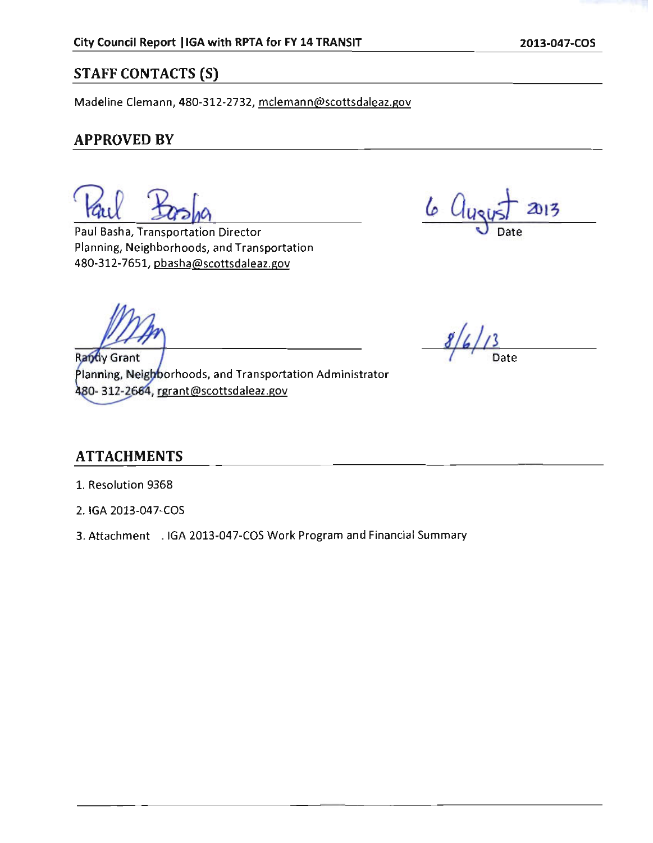# **STAFF CONTACTS (S)**

Madeline Clemann, 480-312-2732, mclemann@scottsdaleaz.gov

# **APPROVED BY**

Paul Basha, Transportation Director Planning, Neighborhoods, and Transportation 480-312-7651, pbasha@scottsdaleaz.gov

 $6 \, \Omega_{11}$ 2013

Randy Grant Planning, Neighborhoods, and Transportation Administrator 480- 312-2664, rgrant@scottsdaleaz.gov

 $8/6/13$ 

# **ATTACHMENTS**

- 1. Resolution 9368
- 2. IGA 2013-047-COS
- 3. Attachment . IGA 2013-047-COS Work Program and Financial Summary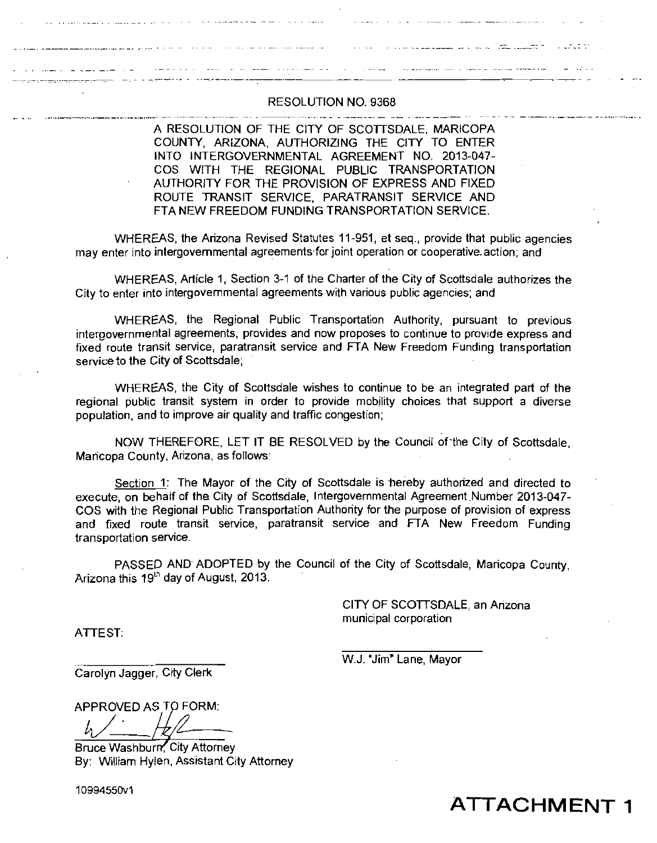#### RESOLUTION NO. 9368

<u>. Andreas and the second communications of the second communications of the second communications of the second</u>

A RESOLUTION OF THE CITY OF SCOTTSDALE. MARICOPA COUNTY. ARIZONA, AUTHORIZING THE CITY TO ENTER INTO INTERGOVERNMENTAL AGREEMENT NO. 2013-047- COS WITH THE REGIONAL PUBLIC TRANSPORTATION AUTHORITY FOR THE PROVISION OF EXPRESS AND FIXED ROUTE TRANSIT SERVJCE. PARATRANSIT SERVICE AND FTA NEW FREEDOM FUNDING TRANSPORTATION SERVICE.

WHEREAS, the Arizona Revised Statutes 11-951, et seq., provide that public agencies may enter into intergovernmental agreements for joint operation or cooperative-action; and

WHEREAS, Article 1, Section 3-1 of the Charter of the City of Scottsdale authorizes the City to enter into intergovemmental agreements with various public agencies; and

WHEREAS, the Regional Public Transportation Authority, pursuant to previous intergovernmental agreements, provides and now proposes to continue to provide express and fixed route transit service, paratransit service and FTA New Freedom Funding transportation service to the City of Scottsdale;

WHEREAS, the City of Scottsdale wishes to continue to be an integrated part of the regional public transit system in order to provide mobility choices that support a diverse population, and to improve air quality and traffic congestion;

NOW THEREFORE, LET IT BE RESOLVED by the Council of the City of Scottsdale, Maricopa County, Arizona, as follows:

Section 1: The Mayor of the City of Scottsdale is hereby authorized and directed to execute, on behalf of the City of Scottsdale. Intergovernmental Agreement Number 2013-047- COS with the Regional Public Transportation Authority for the purpose of provision of express and fixed route transit service, paratransit service and FTA New Freedom Funding transportation service.

PASSED AND ADOPTED by the Council of the City of Scottsdale, Maricopa County, Arizona this  $19<sup>th</sup>$  day of August, 2013.

> CITY OF SCOTTSDALE, an Arizona municipal corporation

and the contract of the contract of the contract of the contract of the contract of the contract of the contract of

ATTEST:

W.J. "Jim" Lane, Mayor

Carolyn Jagger, City Clerk

APPROVED AS TO FORM:

Bruce Washburn, City Attorney By: William Hylen, Assistant City Attorney

10994550V1

**ATTACHMENT 1**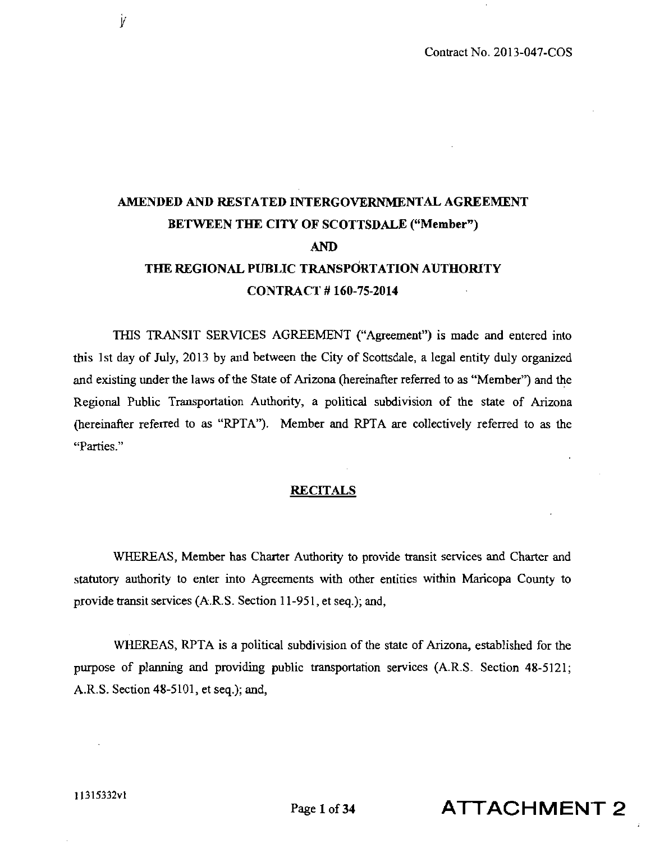# **AMENDED AND RESTATED INTERGOVERNMENTAL AGREEMENT BETWEEN THE CITY OF SCOTTSDALE ("Member") AND THE REGIONAL PUBLIC TRANSPORTATION AUTHORITY CONTRACT # 160-75-2014**

THIS TRANSIT SERVICES AGREEMENT ("Agreement") is made and entered into this 1 st day of July, 2013 by and between the City of Scottsdale, a legal entity duly organized and existing under the laws of the State of Arizona (hereinafter referred to as "Member") and the Regional Public Transportation Authority, a political subdivision of the state of Arizona (hereinafter referred to as "RPTA"). Member and RPTA are collectively referred to as the "Parties."

#### **RECFTALS**

WHEREAS, Member has Charter Authority to provide transit services and Charter and statutory authority to enter into Agreements with other entities within Maricopa County to provide transit services (A.R.S. Section 11-951, et seq.); and,

WHEREAS, RPTA is a political subdivision of the state of Arizona, established for the purpose of planning and providing public transportation services (A.R.S. Section 48-5121; A.R.S. Section 48-5101, et seq.); and,

Ì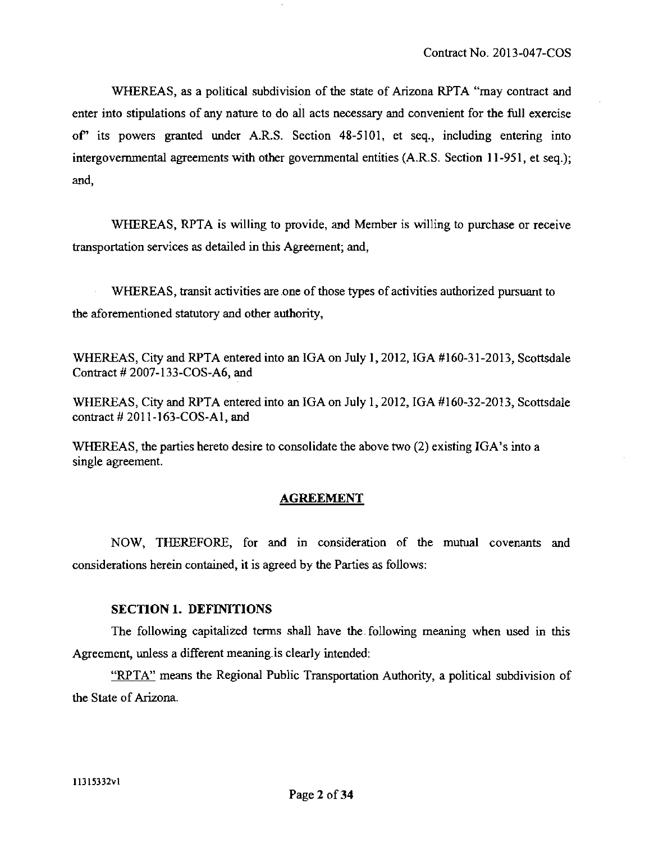WHEREAS, as a political subdivision of the state of Arizona RPTA "may contract and enter into stipulations of any nature to do all acts necessary and convenient for the ftill exercise of" its powers granted under A.R.S. Section 48-5101, et seq., including entering into intergovernmental agreements with other governmental entities (A.R.S. Section 11-951, et seq.); and,

WHEREAS, RPTA is willing to provide, and Member is willing to purchase or receive transportation services as detailed in this Agreement; and,

WHEREAS, transit activities are one of those types of activities authorized pursuant to the aforementioned statutory and other authority.

WHEREAS, City and RPTA entered into an IGA on July 1,2012, IGA #160-31-2013, Scottsdale Contract # 2007-133-COS-A6, and

WHEREAS, City and RPTA entered into an IGA on July 1,2012, IGA #160-32-2013, Scottsdale contract  $#2011-163-COS-Al$ , and

WHEREAS, the parties hereto desire to consolidate the above two (2) existing IGA's into a single agreement.

## **AGREEMENT**

NOW, THEREFORE, for and in consideration of the mutual covenants and considerations herein contained, it is agreed by the Parties as follows:

#### **SECTION 1. DEFINITIONS**

The following capitalized terms shall have the. following meaning when used in this Agreement, unless a different meaning is clearly intended:

"RPTA" means the Regional Public Transportation Authority, a political subdivision of the State of Arizona.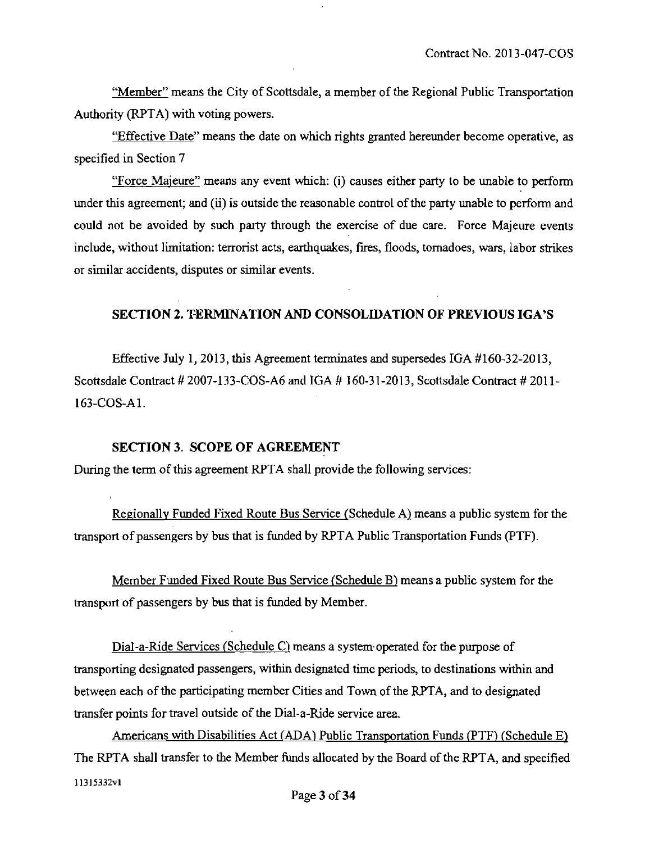"Member" means the City of Scottsdale, a member of the Regional Public Transportation Authority (RPTA) with voting powers.

"Effective Date" means the date on which rights granted hereunder become operative, as specified in Section 7

"Force Majeure" means any event which: (i) causes either party to be unable to perform under this agreement; and (ii) is outside the reasonable control of the party unable to perform and could not be avoided by such party through the exercise of due care. Force Majeure events include, without limitation: terrorist acts, earthquakes, fires, floods, tornadoes, wars, labor strikes or similar accidents, disputes or similar events.

## **SECTION 2. TERMINATION AND CONSOLIDATION OF PREVIOUS IGA'S**

Effective July 1, 2013, this Agreement terminates and supersedes IGA #160-32-2013, Scottsdale Contract # 2007-133-COS-A6 and IGA # 160-31-2013, Scottsdale Contract # 2011- 163-COS-Al.

#### **SECTION 3. SCOPE OF AGREEMENT**

During the term of this agreement RPTA shall provide the following services:

Regionally Funded Fixed Route Bus Service (Schedule A) means a public system for the transport of passengers by bus that is funded by RPTA Public Transportation Funds (PTE).

Member Funded Fixed Route Bus Service (Schedule B) means a public system for the transport of passengers by bus that is funded by Member.

Dial-a-Ride Services (Schedule C) means a system operated for the purpose of transporting designated passengers, within designated time periods, to destinations within and between each of the participating member Cities and Town of the RPTA, and to designated transfer points for travel outside of the Dial-a-Ride service area.

Americans with Disabilities Act (ADA) Public Transportation Funds (PTF) (Schedule E) The RPTA shall transfer to the Member funds allocated by the Board of the RPTA, and specified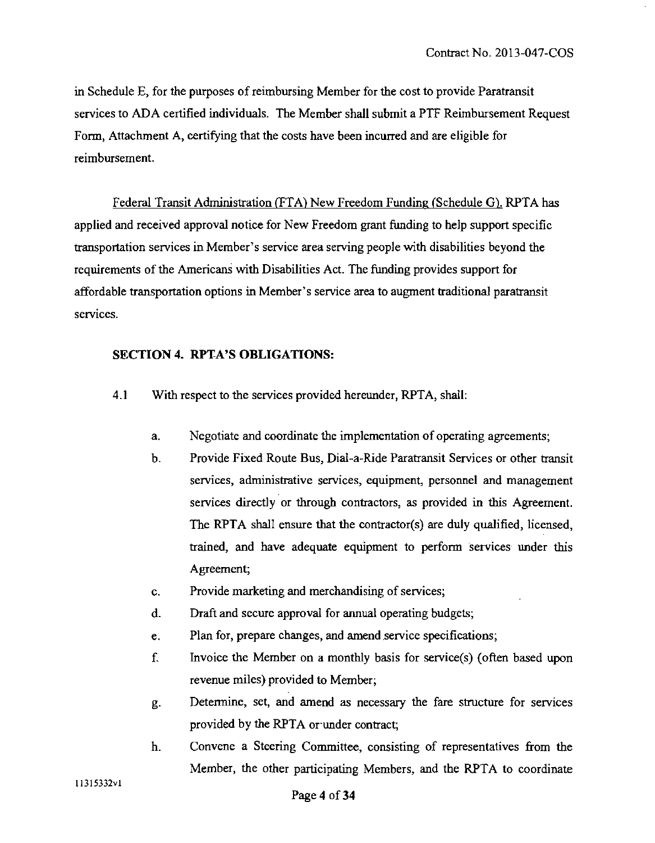in Schedule E, for the purposes of reimbursing Member for the cost to provide Paratransit services to ADA certified individuals. The Member shall submit a PTF Reimbursement Request Form, Attachment A, certifying that the costs have been incurred and are eligible for reimbursement.

Federal Transit Administration (FTA) New Freedom Funding (Schedule G). RPTA has applied and received approval notice for New Freedom grant funding to help support specific transportation services in Member's service area serving people with disabilities beyond the requirements of the Americans with Disabilities Act. The funding provides support for affordable transportation options in Member's service area to augment traditional paratransit services.

## **SECTION 4. RPTA'S OBLIGATIONS:**

- 4.1 With respect to the services provided hereunder, RPTA, shall:
	- a. Negotiate and coordinate the implementation of operating agreements;
	- b. Provide Fixed Route Bus, Dial-a-Ride Paratransit Services or other transit services, administrative services, equipment, personnel and management services directly or through contractors, as provided in this Agreement. The RPTA shall ensure that the contractor(s) are duly qualified, licensed, trained, and have adequate equipment to perform services under this Agreement;
	- c. Provide marketing and merchandising of services;
	- d. Draft and secure approval for annual operating budgets;
	- e. Plan for, prepare changes, and amend service specifications;
	- f. Invoice the Member on a monthly basis for service(s) (often based upon revenue miles) provided to Member;
	- g. Determine, set, and amend as necessary the fare structure for services provided by the RPTA or under contract;
	- h. Convene a Steering Committee, consisting of representatives from the Member, the other participating Members, and the RPTA to coordinate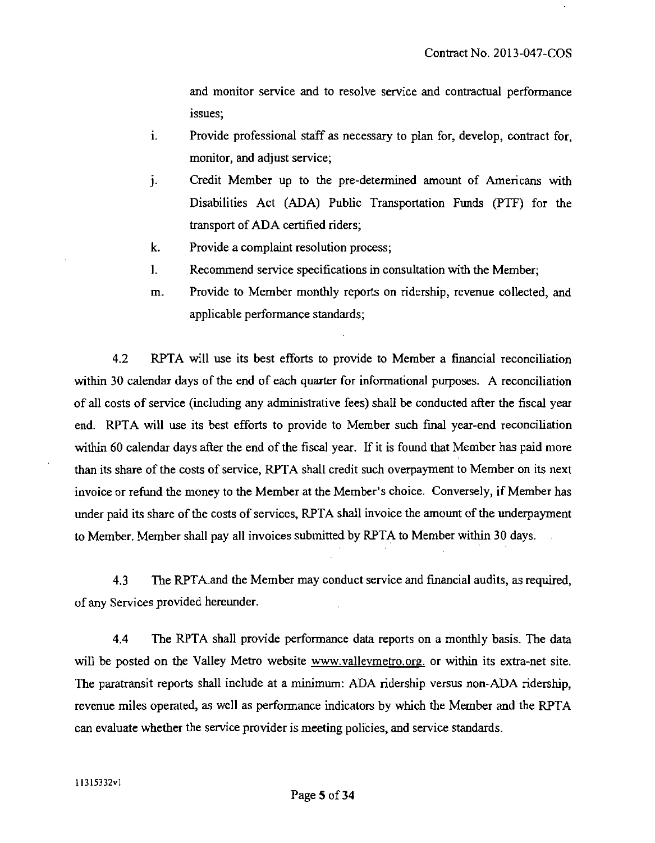and monitor service and to resolve service and contractual performance issues;

- i. Provide professional staff as necessary to plan for, develop, contract for, monitor, and adjust service;
- j. Credit Member up to the pre-determined amount of Americans with Disabilities Act (ADA) Public Transportation Funds (PTF) for the transport of ADA certified riders;
- k. Provide a complaint resolution process;
- I. Recommend service specifications in consultation with the Member;
- m. Provide to Member monthly reports on ridership, revenue collected, and applicable performance standards;

4.2 RPTA will use its best efforts to provide to Member a financial reconciliation within 30 calendar days of the end of each quarter for informational purposes. A reconciliation of all costs of service (including any administrative fees) shall be conducted after the fiscal year end. RPTA will use its best efforts to provide to Member such final year-end reconciliation within 60 calendar days after the end of the fiscal year. If it is found that Member has paid more than its share of the costs of service, RPTA shall credit such overpayment to Member on its next invoice or refund the money to the Member at the Member's choice. Conversely, if Member has under paid its share of the costs of services, RPTA shall invoice the amount of the underpayment to Member. Member shall pay all invoices submitted by RPTA to Member within 30 days.

4.3 The RPTA.and the Member may conduct service and financial audits, as required, of any Services provided hereunder.

4.4 The RPTA shall provide performance data reports on a monthly basis. The data will be posted on the Valley Metro website www.valleymetro.org. or within its extra-net site. The paratransit reports shall include at a minimum: ADA ridership versus non-ADA ridership, revenue miles operated, as well as performance indicators by which the Member and the RPTA can evaluate whether the service provider is meeting policies, and service standards.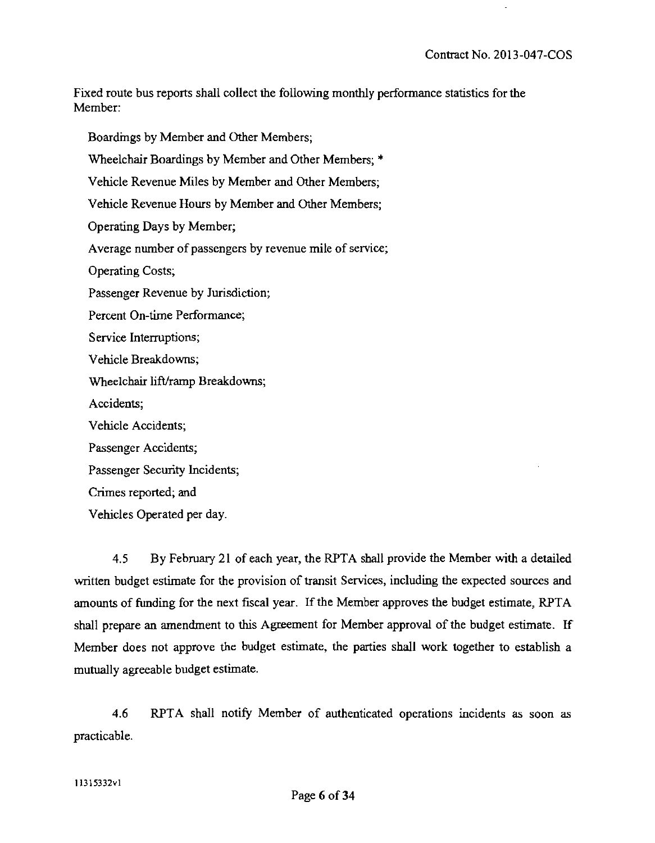Fixed route bus reports shall collect the following monthly performance statistics for the Member:

Boardings by Member and Other Members; Wheelchair Boardings by Member and Other Members; \* Vehicle Revenue Miles by Member and Other Members; Vehicle Revenue Hours by Member and Other Members; Operating Days by Member; Average number of passengers by revenue mile of service; Operating Costs; Passenger Revenue by Jurisdiction; Percent On-time Performance; Service Interruptions; Vehicle Breakdowns; Wheelchair lifVramp Breakdowns; Accidents; Vehicle Accidents; Passenger Accidents; Passenger Security Incidents; Crimes reported; and Vehicles Operated per day.

4.5 By February 21 of each year, the RPTA shall provide the Member with a detailed written budget estimate for the provision of transit Services, including the expected sources and amounts of funding for the next fiscal year. If the Member approves the budget estimate, RPTA shall prepare an amendment to this Agreement for Member approval of the budget estimate. If Member does not approve the budget estimate, the parties shall work together to establish a mutually agreeable budget estimate.

4.6 RPTA shall notify Member of authenticated operations incidents as soon as practicable.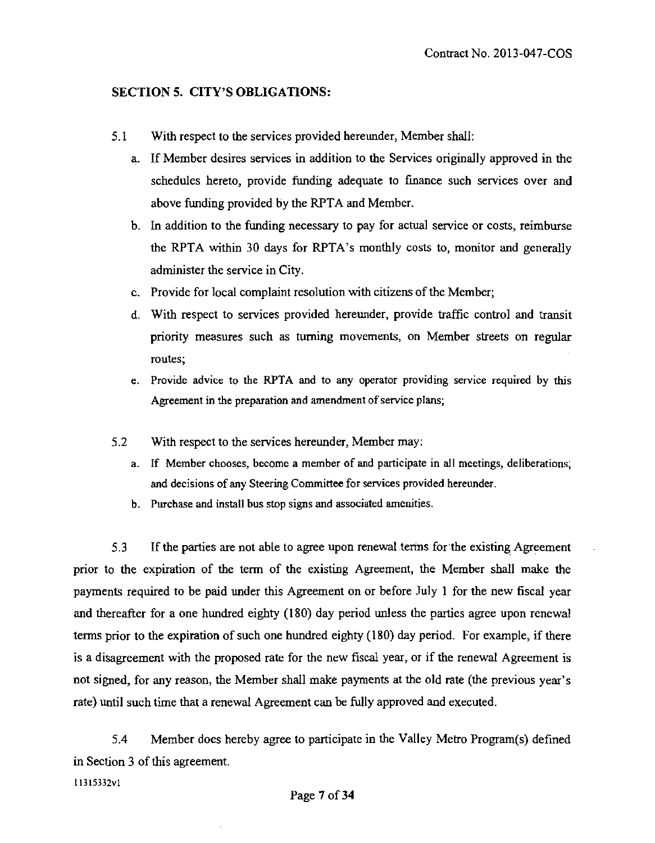#### **SECTION 5. CITY'S OBLIGATIONS:**

- 5.1 With respect to the services provided hereunder, Member shall:
	- a. If Member desires services in addition to the Services originally approved in the schedules hereto, provide funding adequate to finance such services over and above funding provided by the RPTA and Member.
	- b. In addition to the funding necessary to pay for actual service or costs, reimburse the RPTA within 30 days for RPTA's monthly costs to, monitor and generally administer the service in City.
	- e. Provide for local complaint resolution with citizens of the Member;
	- d. With respect to services provided hereunder, provide traffic control and transit priority measures such as turning movements, on Member streets on regular routes;
	- e. Provide advice to the RPTA and to any operator providing service required by this Agreement in the preparation and amendment of service plans;
- 5.2 With respect to the services hereunder, Member may:
	- a. If Member chooses, become a member of and participate in all meetings, deliberations, and decisions of any Steering Committee for services provided hereunder.
	- b. Purchase and install bus stop signs and associated amenities.

5.3 If the parties are not able to agree upon renewal terms for the existing Agreement prior to the expiration of the term of the existing Agreement, the Member shall make the payments required to be paid under this Agreement on or before July 1 for the new fiscal year and thereafter for a one hundred eighty (180) day period unless the parties agree upon renewal terms prior to the expiration of such one hundred eighty (180) day period. For example, if there is a disagreement with the proposed rate for the new fiscal year, or if the renewal Agreement is not signed, for any reason, the Member shall make payments at the old rate (the previous year's rate) until such time that a renewal Agreement can be fully approved and executed.

5.4 Member does hereby agree to participate in the Valley Metro Program(s) defined in Section 3 of this agreement.

11315332vl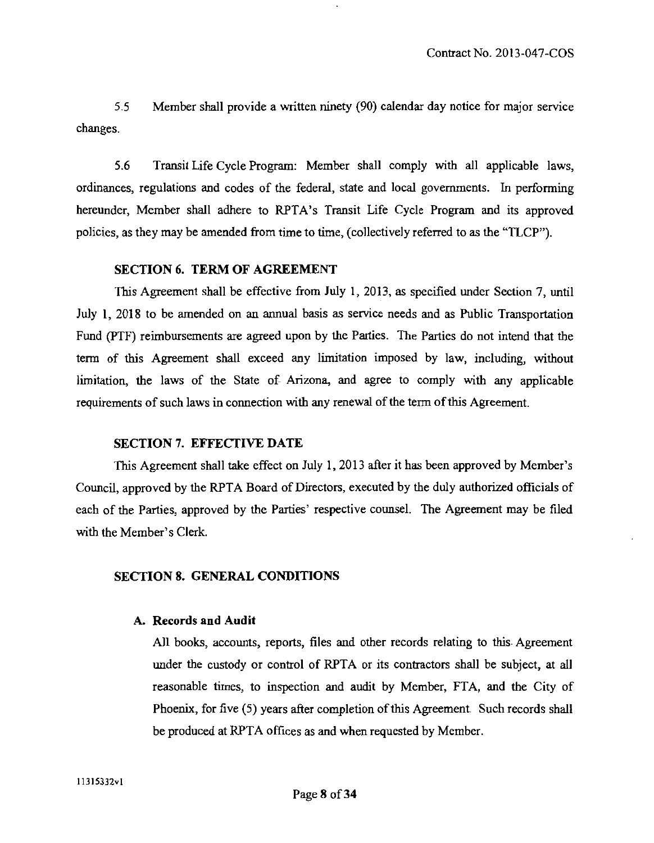5.5 Member shall provide a written ninety (90) calendar day notice for major service changes.

5.6 Transit Life Cycle Program: Member shall comply vwth all applicable laws, ordinances, regulations and codes of the federal, state and local governments. In performing hereunder. Member shall adhere to RPTA's Transit Life Cycle Program and its approved policies, as they may be amended from time to time, (collectively referred to as the "TLCP").

## **SECTION 6. TERM OF AGREEMENT**

This Agreement shall be effective from July 1, 2013, as specified under Section 7, until July 1, 2018 to be amended on an annual basis as service needs and as Public Transportation Fund (PTF) reimbursements are agreed upon by the Parties. The Parties do not intend that the term of this Agreement shall exceed any limitation imposed by law, including, without limitation, the laws of the State of Arizona, and agree to comply with any applicable requirements of such laws in connection with any renewal of the term of this Agreement.

#### **SECTION 7. EFFECTIVE DATE**

This Agreement shall take effect on July 1, 2013 after it has been approved by Member's Council, approved by the RPTA Board of Directors, executed by the duly authorized officials of each of the Parties, approved by the Parties' respective counsel. The Agreement may be filed with the Member's Clerk.

#### **SECTION 8. GENERAL CONDITIONS**

#### **A. Records and Audit**

All books, accounts, reports, files and other records relating to this Agreement under the custody or control of RPTA or its contractors shall be subject, at all reasonable times, to inspection and audit by Member, FTA, and the City of Phoenix, for five (5) years after completion of this Agreement. Such records shall be produced at RPTA offices as and when requested by Member.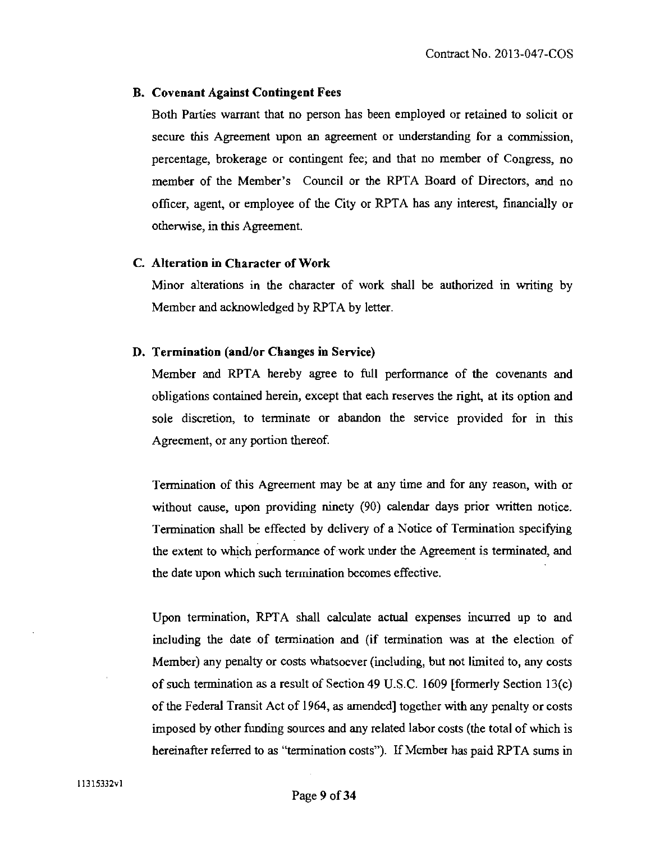#### **B. Covenant Against Contingent Fees**

Both Parties warrant that no person has been employed or retained to solicit or secure this Agreement upon an agreement or understanding for a commission, percentage, brokerage or contingent fee; and that no member of Congress, no member of the Member's Council or the RPTA Board of Directors, and no officer, agent, or employee of the City or RPTA has any interest, financially or otherwise, in this Agreement.

## **C. Alteration in Character of Work**

Minor alterations in the character of work shall be authorized in writing by Member and acknowledged by RPTA by letter.

#### **D. Termination (and/or Changes in Service)**

Member and RPTA hereby agree to full performance of the covenants and obligations contained herein, except that each reserves the right, at its option and sole discretion, to terminate or abandon the service provided for in this Agreement, or any portion thereof

Termination of this Agreement may be at any time and for any reason, with or without cause, upon providing ninety (90) calendar days prior written notice. Termination shall be effected by delivery of a Notice of Termination specifying the extent to which performance of work under the Agreement is terminated, and the date upon which such termination becomes effective.

Upon termination, RPTA shall calculate actual expenses incurred up to and including the date of tennination and (if termination was at the election of Member) any penalty or costs whatsoever (including, but not limited to, any costs of such tennination as a result of Section 49 U.S.C. 1609 [formerly Section 13(c) of the Federal Transit Act of 1964, as amended] together with any penalty or costs imposed by other fimding sources and any related labor costs (the total of which is hereinafter referred to as "termination costs"). If Member has paid RPTA sums in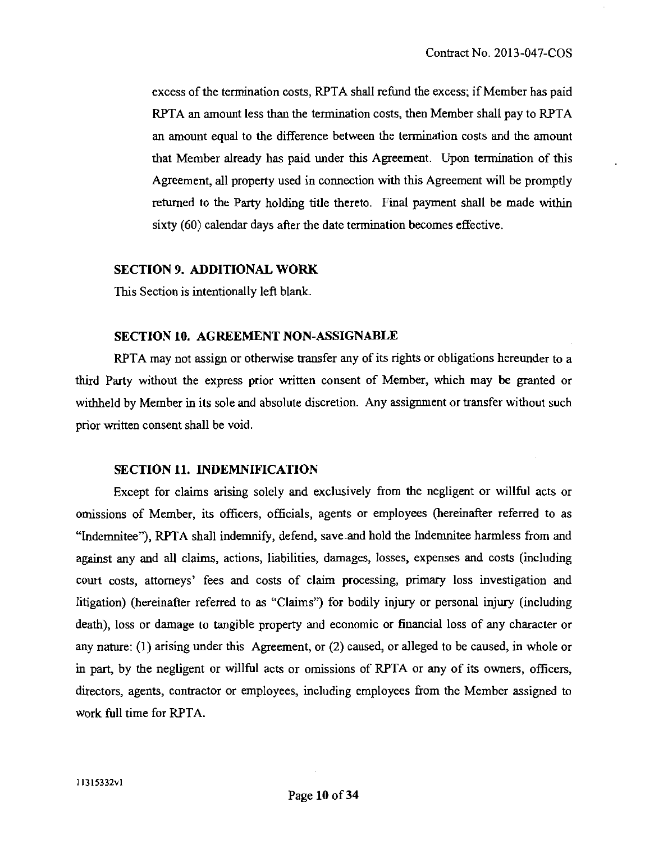excess of the termination costs, RPTA shall refund the excess; if Member has paid RPTA an amount less than the termination costs, then Member shall pay to RPTA an amount equal to the difference between the termination costs and the amount that Member already has paid under this Agreement. Upon termination of this Agreement, all property used in connection with this Agreement will be promptiy returned to the Party holding title thereto. Final payment shall be made within sixty (60) calendar days after the date termination becomes effective.

#### **SECTION 9. ADDITIONAL WORK**

This Section is intentionally left blank.

#### **SECTION 10. AGREEMENT NON-ASSIGNABLE**

RPTA may not assign or otherwise transfer any of its rights or obligations hereunder to a third Party without the express prior written consent of Member, which may be granted or withheld by Member in its sole and absolute discretion. Any assignment or transfer without such prior written consent shall be void.

#### **SECTION 11. INDEMNIFICATION**

Except for claims arising solely and exclusively from the negligent or willful acts or omissions of Member, its officers, officials, agents or employees (hereinafter refened to as "Indemnitee"), RPTA shall indenmify, defend, save .and hold the Indenmitee harmless from and against any and all claims, actions, liabilities, damages, losses, expenses and costs (including court costs, attorneys' fees and costs of claim processing, primary loss investigation and litigation) (hereinafter refened to as "Claims") for bodily injury or personal injury (including death), loss or damage to tangible property and economic or financial loss of any character or any nature: (1) arising under this Agreement, or (2) caused, or alleged to be caused, in whole or in part, by the negligent or willful acts or omissions of RPTA or any of its owners, officers. directors, agents, contractor or employees, including employees from the Member assigned to work full time for RPTA.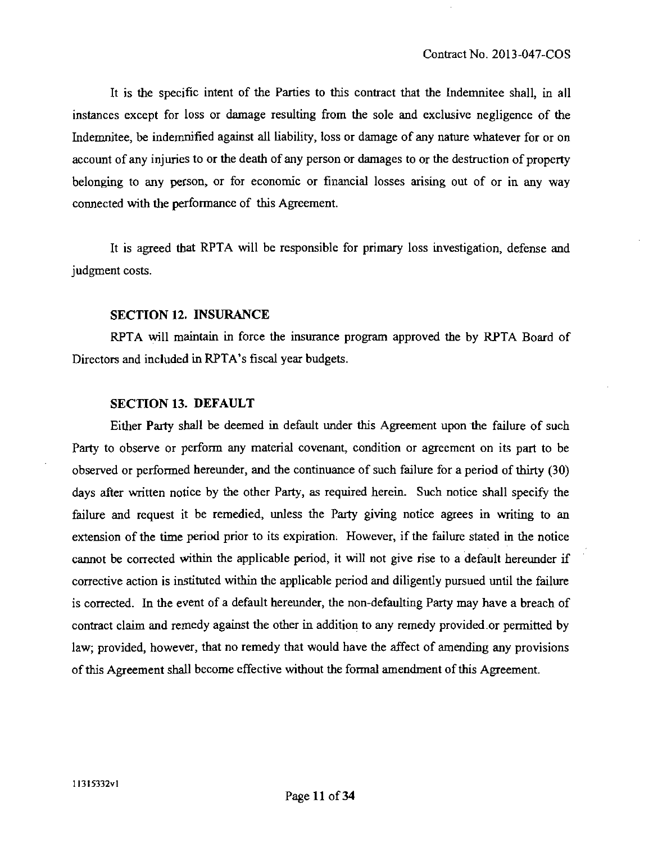It is the specific intent of the Parties to this contract that the Indemnitee shall, in all instances except for loss or damage resulting from the sole and exclusive negligence of the Indemnitee, be indemnified against all liability, loss or damage of any nature whatever for or on account of any injuries to or the death of any person or damages to or the destruction of property belonging to any person, or for economic or financial losses arising out of or in any way connected with the performance of this Agreement.

It is agreed that RPTA will be responsible for primary loss investigation, defense and judgment costs.

#### **SECTION 12. INSURANCE**

RPTA will maintain in force the insurance program approved the by RPTA Board of Directors and included in RPTA's fiscal year budgets.

## **SECTION 13. DEFAULT**

Either Party shall be deemed in default under this Agreement upon the failure of such Party to observe or perform any material covenant, condition or agreement on its part to be observed or performed hereunder, and the continuance of such failure for a period of thirty (30) days after written notice by the other Party, as required herein. Such notice shall specify the failure and request it be remedied, unless the Party giving notice agrees in writing to an extension of the time period prior to its expiration; However, if the failure stated in the notice cannot be conected within the applicable period, it will not give rise to a default hereunder if conective action is instituted within the applicable period and diligently pursued until the failure is corrected. In the event of a default hereunder, the non-defaulting Party may have a breach of contract claim and remedy against the other in addition to any remedy provided.or permitted by law; provided, however, that no remedy that would have the affect of amending any provisions of this Agreement shall become effective without the formal amendment of this Agreement.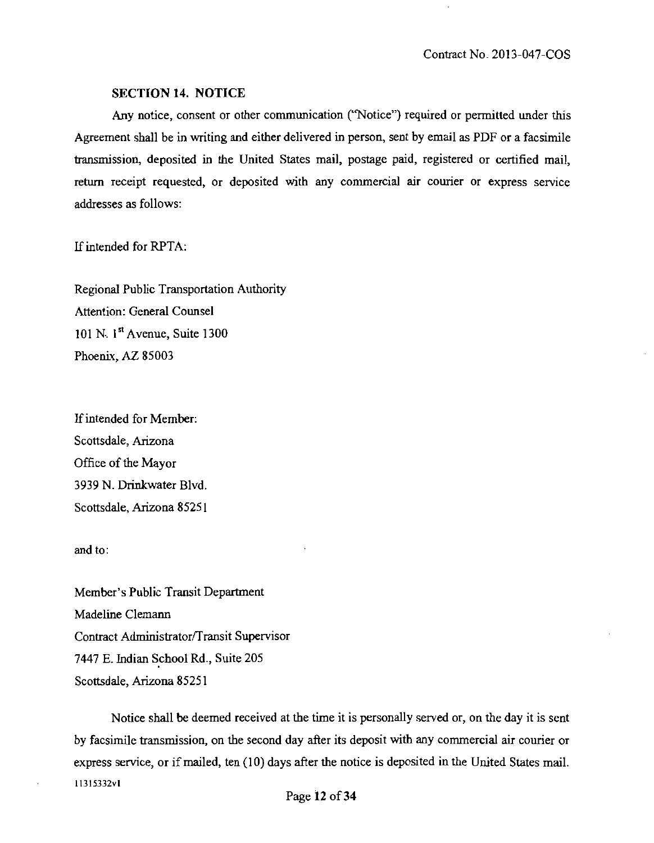#### **SECTION 14. NOTICE**

Any notice, consent or other communication ("Notice") required or permitted under this Agreement shall be in writing and either delivered in person, sent by email as PDF or a facsimile transmission, deposited in the United States mail, postage paid, registered or certified mail, retum receipt requested, or deposited with any commercial air courier or express service addresses as follows:

If intended for RPTA:

Regional Public Transportation Authority Attention: General Counsel 101 N. 1"\* Avenue, Suite 1300 Phoenix, AZ 85003

ff intended for Member: Scottsdale, Arizona Office of the Mayor 3939 N. Drinkwater Blvd. Scottsdale, Arizona 85251

and to:

Member's Public Transit Department Madeline Clemann Contract Administrator/Transit Supervisor 7447 E. Indian School Rd., Suite 205 Scottsdale, Arizona 85251

Notice shall be deemed received at the time it is personally served or, on the day it is sent by facsimile transmission, on the second day after its deposit with any commercial air courier or express service, or if mailed, ten (10) days after the notice is deposited in the United States mail. 11315332V1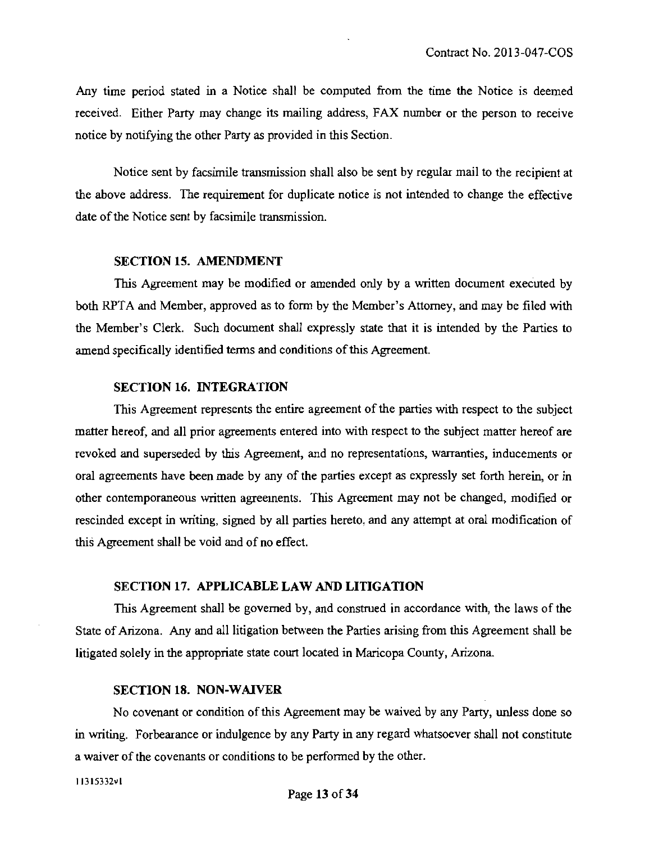Any time period stated in a Notice shall be computed from the time the Notice is deemed received. Either Party may change its mailing address, FAX number or the person to receive notice by notifying the other Party as provided in this Section.

Notice sent by facsimile transmission shall also be sent by regular mail to the recipient at the above address. The requirement for duplicate notice is not intended to change the effective date of the Notice sent by facsimile transmission.

#### **SECTION 15. AMENDMENT**

This Agreement may be modified or amended only by a written document executed by both RPTA and Member, approved as to form by the Member's Attomey, and may be filed with the Member's Clerk. Such document shall expressly state that it is intended by the Parties to amend specifically identified terms and conditions of this Agreement.

## **SECTION 16. INTEGRATION**

This Agreement represents the entire agreement of the parties with respect to the subject matter hereof, and all prior agreements entered into with respect to the subject matter hereof are revoked and superseded by this Agreement, and no representations, wananties, inducements or oral agreements have been made by any of the parties except as expressly set forth herein, or in other contemporaneous written agreements. This Agreement may not be changed, modified or rescinded except in writing, signed by all parties hereto, and any attempt at oral modification of this Agreement shall be void and of no effect.

#### **SECTION 17. APPLICABLE LAW AND LITIGATION**

This Agreement shall be govemed by, and construed in accordance with, the laws of the State of Arizona. Any and all litigation between the Parties arising from this Agreement shall be litigated solely in the appropriate state court located in Maricopa County, Arizona.

#### **SECTION 18. NON-WAIVER**

No covenant or condition of this Agreement may be waived by any Party, unless done so in writing. Forbearance or indulgence by any Party in any regard whatsoever shall not constitute a waiver of the covenants or conditions to be performed by the other.

11315332vl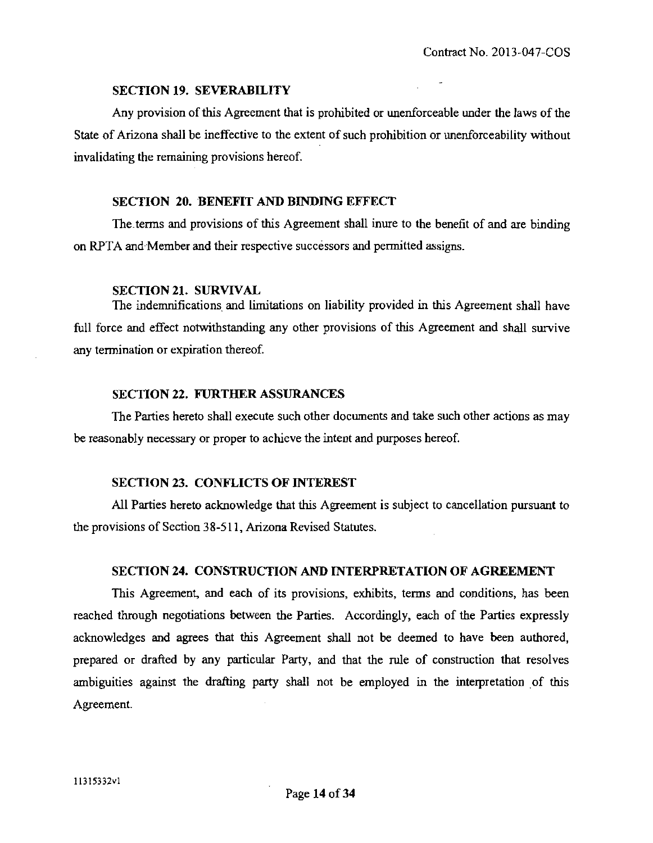#### **SECTION 19. SEVERABILITY**

Any provision of this Agreement that is prohibited or unenforceable under the laws of the State of Arizona shall be ineffective to the extent of such prohibition or unenforceability without invalidating the remaining provisions hereof.

#### **SECTION 20. BENEFIT AND BINDING EFFECT**

The terms and provisions of this Agreement shall inure to the benefit of and are binding on RPTA and Member and their respective successors and permitted assigns.

#### **SECTION 21. SURVIVAL**

The indemnifications and limitations on liability provided in this Agreement shall have full force and effect notwithstanding any other provisions of this Agreement and shall survive any termination or expiration thereof.

#### **SECTION 22. FURTHER ASSURANCES**

The Parties hereto shall execute such other documents and take such other actions as may be reasonably necessary or proper to achieve the intent and purposes hereof

## **SECTION 23. CONFLICTS OF INTEREST**

All Parties hereto acknowledge that this Agreement is subject to cancellation pursuant to the provisions of Section 38-511, Arizona Revised Statutes.

#### **SECTION 24. CONSTRUCTION AND INTERPRETATION OF AGREEMENT**

This Agreement, and each of its provisions, exhibits, terms and conditions, has been reached through negotiations between the Parties. Accordingly, each of the Parties expressly acknowledges and agrees that this Agreement shall not be deemed to have been authored, prepared or drafted by any particular Party, and that the rule of construction that resolves ambiguities against the drafting party shall not be employed in the interpretation of this Agreement.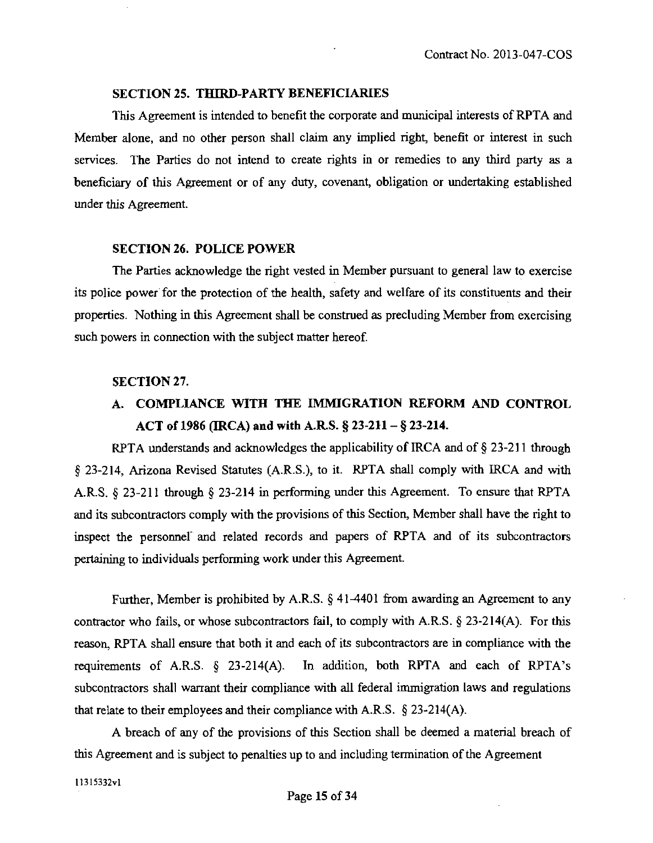#### **SECTION 25. THIRD-PARTY BENEFICIARIES**

This Agreement is intended to benefit the corporate and municipal interests of RPTA and Member alone, and no other person shall claim any implied right, benefit or interest in such services. The Parties do not intend to create rights in or remedies to any third party as a beneficiary of this Agreement or of any duty, covenant, obligation or undertaking established under this Agreement.

#### **SECTION 26. POLICE POWER**

The Parties acknowledge the right vested in Member pursuant to general law to exercise its police power for the protection of the health, safety and welfare of its constiments and their properties. Nothing in this Agreement shall be construed as precluding Member from exercising such powers in connection with the subject matter hereof.

#### **SECTION 27.**

# **A. COMPLIANCE WITH THE IMMIGRATION REFORM AND CONTROL ACT of 1986 (IRCA) and with A.RS. § 23-211 - § 23-214.**

RPTA understands and acknowledges the applicability of IRCA and of § 23-211 through § 23-214, Arizona Revised Stattites (A.R.S.), to it. RPTA shall comply with IRCA and with A.R.S.  $\S$  23-211 through  $\S$  23-214 in performing under this Agreement. To ensure that RPTA and its subcontractors comply with the provisions of this Section, Member shall have the right to inspect the personnel" and related records and papers of RPTA and of its subcontractors pertaining to individuals performing work under this Agreement.

Further, Member is prohibited by A.R.S.  $\S$  41-4401 from awarding an Agreement to any contractor who fails, or whose subcontractors fail, to comply with A.R.S.  $\S 23-214(A)$ . For this reason, RPTA shall ensure that both it and each of its subcontractors are in compliance with the requirements of A.R.S.  $\S$  23-214(A). In addition, both RPTA and each of RPTA's subcontractors shall warrant their compliance with all federal immigration laws and regulations that relate to their employees and their compliance with A.R.S. § 23-214(A).

A breach of any of the provisions of this Section shall be deemed a material breach of this Agreement and is subject to penalties up to and including termination ofthe Agreement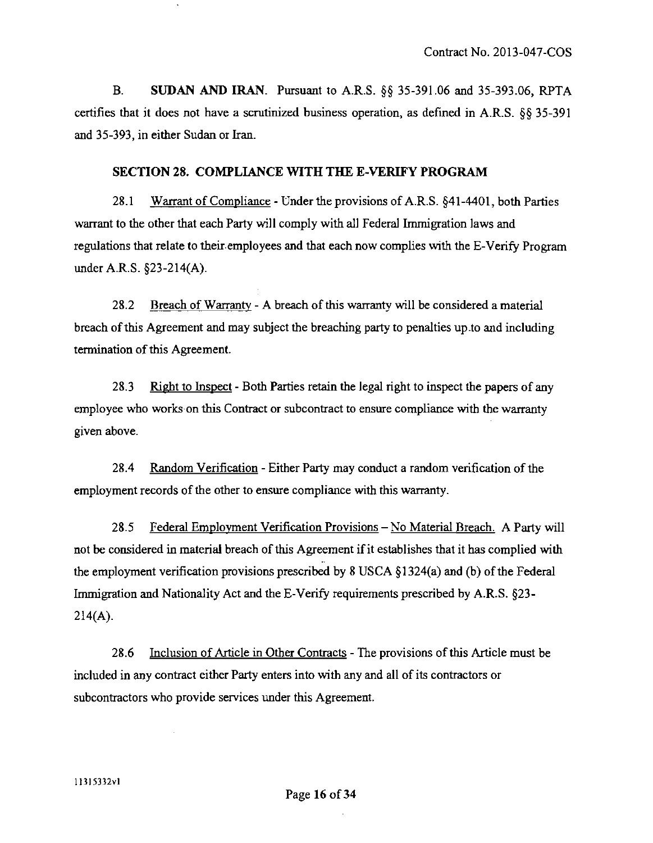B. SUDAN AND IRAN. Pursuant to A.R.S. §§ 35-391.06 and 35-393.06, RPTA certifies that it does not have a scrutinized business operation, as defined in A.R.S. §§ 35-391 and 35-393, in either Sudan or Iran.

## **SECTION 28. COMPLIANCE WITH THE E-VERIFY PROGRAM**

28.1 Warrant of Compliance - Under the provisions of A.R.S. §41-4401, both Parties wanant to the other that each Party will comply with all Federal Immigration laws and regulations that relate to their employees and that each now complies with the E-Verify Program under A.R.S. §23-214(A).

28.2 Breach of Warranty - A breach of this warranty will be considered a material breach of this Agreement and may subject the breaching party to penalties up .to and including termination of this Agreement.

28.3 Right to Inspect - Both Parties retain the legal right to inspect the papers of any employee who works on this Contract or subcontract to ensure compliance with the warranty given above.

28.4 Random Verification - Either Party may conduct a random verification of the employment records of the other to ensure compliance with this warranty.

28.5 Federal Employment Verification Provisions - No Material Breach. A Party will not be considered in material breach of this Agreement if it establishes that it has complied with the employment verification provisions prescribed by 8 USCA § 1324(a) and (b) of the Federal Immigration and Nationality Act and the E-Verify requirements prescribed by A.R.S. §23-  $214(A)$ .

28.6 Inclusion of Article in Other Contracts - The provisions of this Article must be included in any contract either Party enters into with any and all of its contractors or subcontractors who provide services under this Agreement.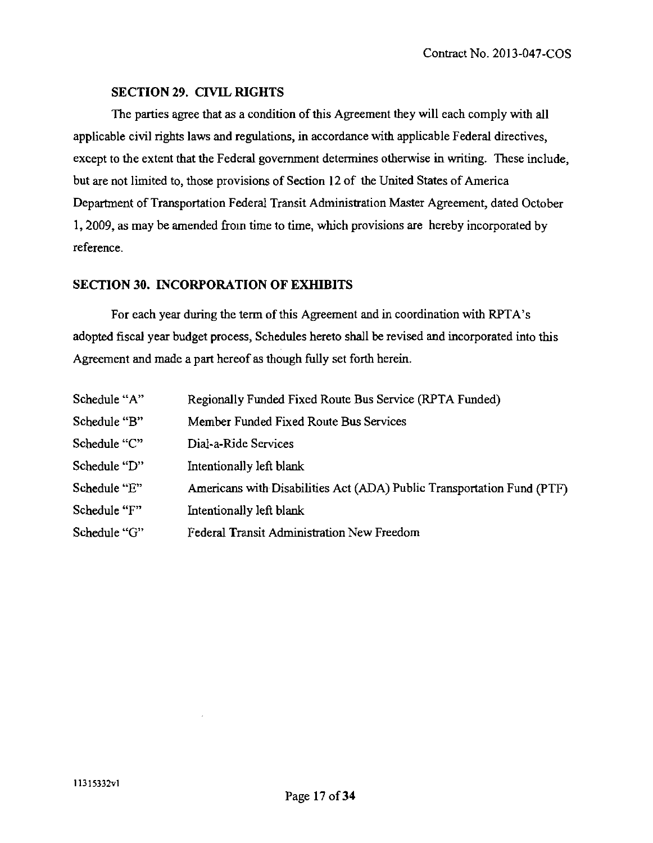## **SECTION 29. CIVIL RIGHTS**

The parties agree that as a condition of this Agreement they will each comply with all applicable civil rights laws and regulations, in accordance with applicable Federal directives, except to the extent that the Federal govemment determines otherwise in writing. These include, but are not limited to, those provisions of Section 12 of the United States of America Department of Transportation Federal Transit Administration Master Agreement, dated October 1, 2009, as may be amended from time to time, which provisions are hereby incorporated by reference.

## **SECTION 30. INCORPORATION OF EXHIBITS**

For each year during the term of this Agreement and in coordination with RPTA's adopted fiscal year budget process. Schedules hereto shall be revised and incorporated into this Agreement and made a part hereof as though fully set forth herein.

| Schedule "A" | Regionally Funded Fixed Route Bus Service (RPTA Funded)                |
|--------------|------------------------------------------------------------------------|
| Schedule "B" | Member Funded Fixed Route Bus Services                                 |
| Schedule "C" | Dial-a-Ride Services                                                   |
| Schedule "D" | Intentionally left blank                                               |
| Schedule "E" | Americans with Disabilities Act (ADA) Public Transportation Fund (PTF) |
| Schedule "F" | Intentionally left blank                                               |
| Schedule "G" | Federal Transit Administration New Freedom                             |
|              |                                                                        |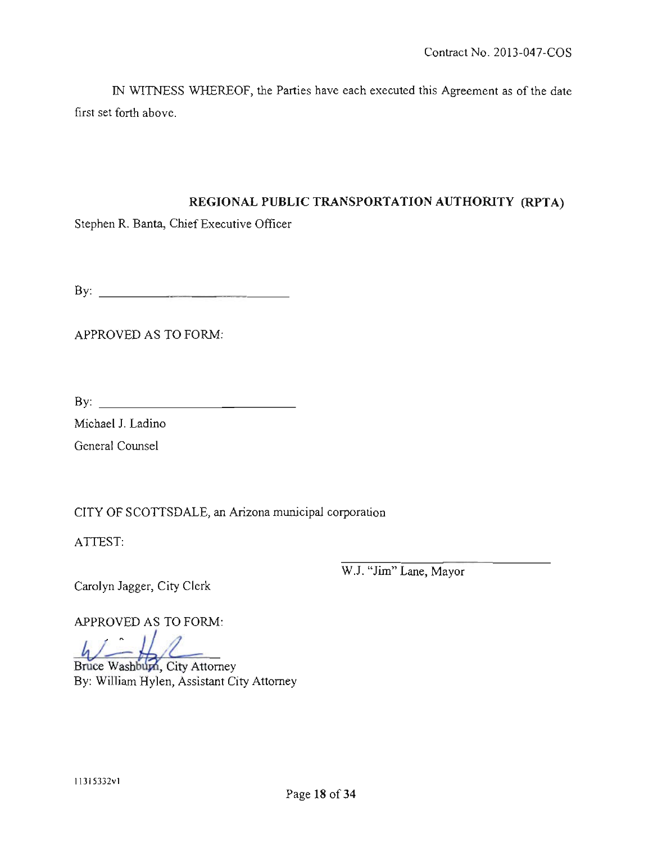IN WITNESS WHEREOF, the Parties have each executed this Agreement as of the date first set forth above.

# **REGIONAL PUBLIC TRANSPORTATION AUTHORITY (RPTA)**

Stephen R. Banta, Chief Executive Officer

By:

APPROVED AS TO FORM:

 $By: _______$ 

Michael J. Ladino

General Counsel

CITY OF SCOTTSDALE, an Arizona municipal corporation

ATTEST:

Carolyn Jagger, City Clerk

W.J. "Jim" Lane, Mayor

APPROVED AS TO FORM:

 $\left| \cdot \right|$   $\left| \cdot \right|$ 

Bruce Washbum, City Attorney By: William Hylen, Assistant City Attomey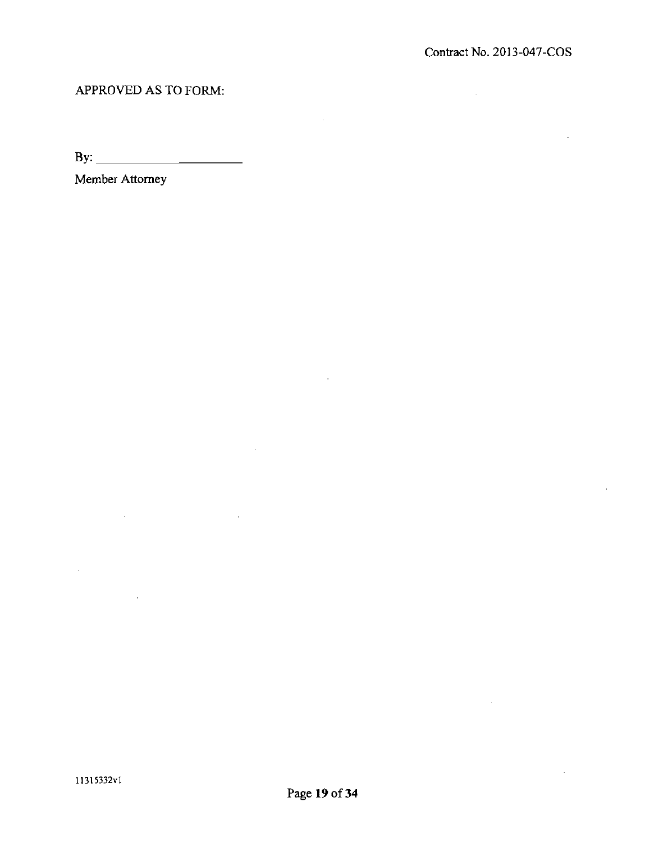# APPROVED AS TO FORM:

By:

Member Attomey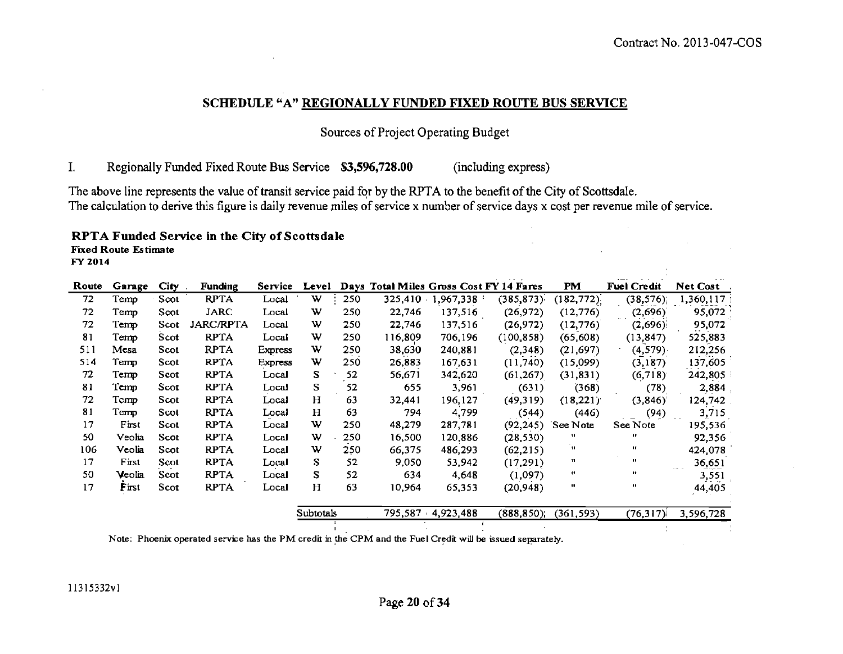# SCHEDULE «A" REGIONALLY FUNDED FIXED ROUTE BUS SERVICE

Sources of Project Operating Budget

1. Regionally Funded Fixed Route Bus Service \$3,596,728.00 (including express)

The above line represents the value of transit service paid for by the RPTA to the benefit of the City of Scottsdale. The calculation to derive this figure is daily revenue miles of service x number of service days x cost per revenue mile of service.

#### RPTA Funded Service in the City of Scottsdale

Fixed Route Estimate

FY 2014

| Route | Garage | City | <b>Funding</b>   | <b>Service</b> | Level       |     |         |           | Days Total Miles Gross Cost FY 14 Fares | PM             | <b>Fuel Credit</b> | Net Cost                                                                                                |
|-------|--------|------|------------------|----------------|-------------|-----|---------|-----------|-----------------------------------------|----------------|--------------------|---------------------------------------------------------------------------------------------------------|
| 72    | Temp   | Scot | <b>RPTA</b>      | Local          | W.          | 250 | 325,410 | 1,967,338 | (385, 873)                              | (182, 772)     | (38, 576)          | 1,360,117                                                                                               |
| 72    | Temp   | Scot | JARC             | Local          | w           | 250 | 22,746  | 137,516   | (26, 972)                               | (12, 776)      | (2,696)            | 95,072                                                                                                  |
| 72    | Temp   | Scot | <b>JARC/RPTA</b> | Local          | w           | 250 | 22,746  | 137,516   | (26, 972)                               | (12.776)       | (2,696)            | 95,072                                                                                                  |
| 81    | Temp   | Scot | <b>RPTA</b>      | Local          | w           | 250 | 116,809 | 706,196   | (100, 858)                              | (65, 608)      | (13, 847)          | 525,883                                                                                                 |
| 511   | Mesa   | Scot | <b>RPTA</b>      | Express        | w           | 250 | 38,630  | 240,881   | (2,348)                                 | (21, 697)      | (4, 579)           | 212,256                                                                                                 |
| 514   | Temp   | Scot | <b>RPTA</b>      | Express        | w           | 250 | 26,883  | 167,631   | (11,740)                                | (15,099)       | (3,187)            | 137,605                                                                                                 |
| 72    | Temp   | Scot | <b>RPTA</b>      | Local          | S           | 52  | 56,671  | 342,620   | (61, 267)                               | (31, 831)      | (6,718)            | 242,805                                                                                                 |
| 81    | Temp   | Scot | <b>RPTA</b>      | Local          | S.          | 52  | 655     | 3,961     | (631)                                   | (368)          | (78)               | 2,884,                                                                                                  |
| 72    | Temp   | Scot | <b>RPTA</b>      | Local          | H           | 63  | 32,441  | 196,127   | (49,319)                                | (18,221)       | (3,846)            | 124,742                                                                                                 |
| 81    | Temp   | Scot | <b>RPTA</b>      | Local          | H           | 63  | 794     | 4,799     | (544)                                   | (446)          | (94)               | 3,715                                                                                                   |
| 17    | First  | Scot | <b>RPTA</b>      | Local          | w           | 250 | 48,279  | 287,781   | (92, 245)                               | See Note       | See Note           | 195,536                                                                                                 |
| 50    | Veolia | Scot | <b>RPTA</b>      | Local          | w           | 250 | 16,500  | 120,886   | (28, 530)                               | -11            | $\mathbf{u}$       | 92,356                                                                                                  |
| 106   | Veolia | Scot | <b>RPTA</b>      | Local          | w           | 250 | 66,375  | 486,293   | (62, 215)                               | 11             | œ                  | 424,078                                                                                                 |
| 17    | First  | Scot | <b>RPTA</b>      | Local          | S           | 52  | 9,050   | 53,942    | (17,291)                                | 11             | $\mathbf{u}$       | 36,651                                                                                                  |
| 50    | Veolia | Scot | <b>RPTA</b>      | Local          | s           | 52  | 634     | 4.648     | (1,097)                                 | $\blacksquare$ | m                  | $\frac{1}{2} \left( \frac{1}{2} \right) \left( \frac{1}{2} \right) \left( \frac{1}{2} \right)$<br>3,551 |
| 17    | First  | Scot | <b>RPTA</b>      | Local          | $\mathbf H$ | 63  | 10,964  | 65,353    | (20, 948)                               | $\mathbf{u}$   | п.                 | 44,405                                                                                                  |

| Subtotals | 795.587 4.923.488 | $(888, 850)$ ; $(361, 593)$ |  | $(76,317)$ 3,596,728 |
|-----------|-------------------|-----------------------------|--|----------------------|
|           |                   |                             |  |                      |
|           |                   |                             |  |                      |

**Service**  $\Delta \sim 10^{-11}$ 

Note: Phoenix operated service has the PM credit in the CPM and the Fuel Credit will be issued separately.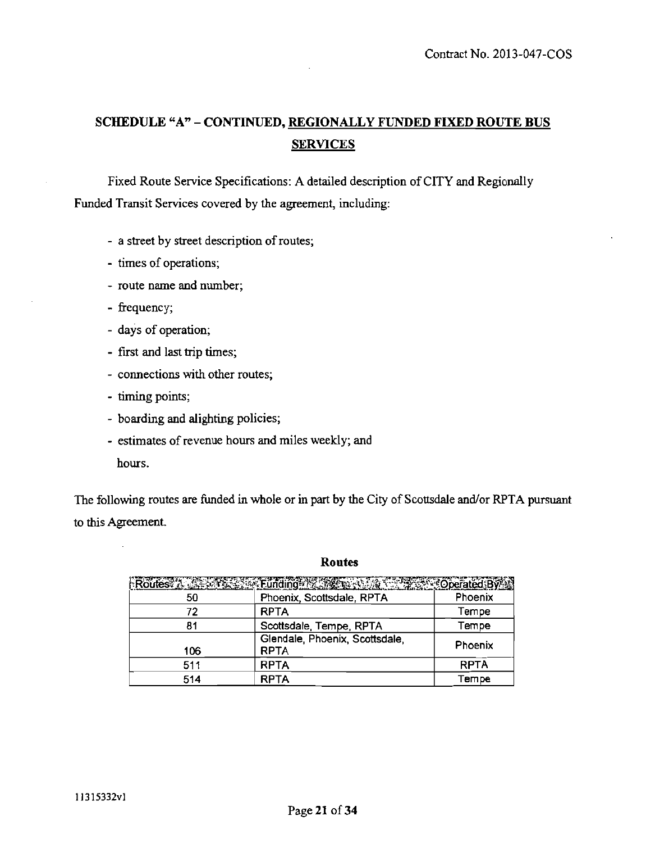# **SCHEDULE "A" - CONTINUED, REGIONALLY FUNDED FIXED ROUTE BUS SERVICES**

Fixed Route Service Specifications: A detailed description of CITY and Regionally Funded Transit Services covered by the agreement, including:

- a street by street description of routes;
- times of operations;
- route name and number;
- frequency;
- days of operation;
- first and last trip times;
- connections with other routes;
- timing points;
- boarding and alighting policies;
- estimates of revenue hours and miles weekly; and hours.

The following routes are funded in whole or in part by the City of Scottsdale and/or RPTA pursuant to this Agreement.

#### **Routes**

|     | Routesy Land Street Funding Machine Routes Coperated By |             |
|-----|---------------------------------------------------------|-------------|
| 50  | Phoenix, Scottsdale, RPTA                               | Phoenix     |
| 72  | <b>RPTA</b>                                             | Tempe       |
| 81  | Scottsdale, Tempe, RPTA                                 | Tempe       |
| 106 | Glendale, Phoenix, Scottsdale,<br><b>RPTA</b>           | Phoenix     |
| 511 | <b>RPTA</b>                                             | <b>RPTA</b> |
| 514 | <b>RPTA</b>                                             | Tempe       |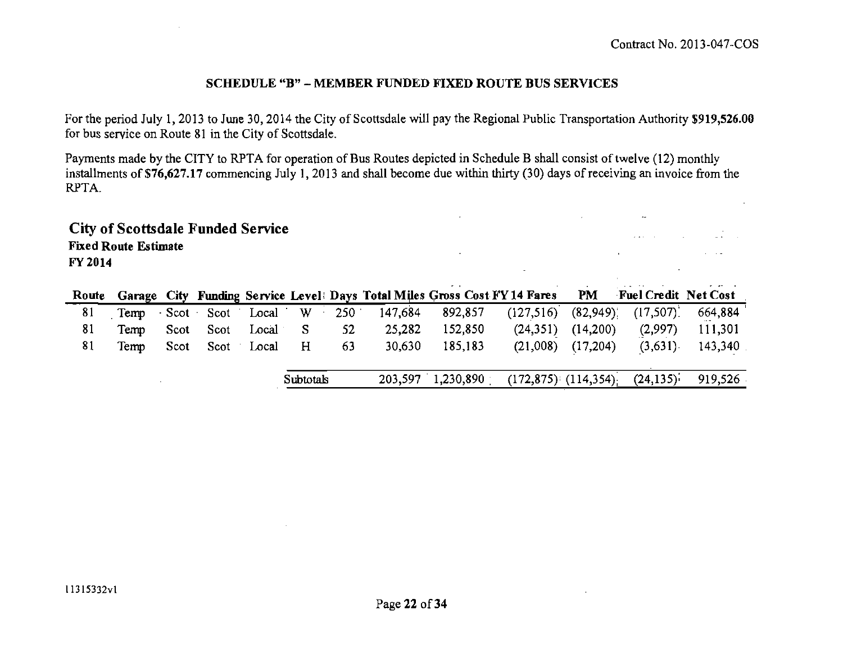and the second contract of the second second second second second second second second second second second second second second second second second second second second second second second second second second second se and the company of the company of

## **SCHEDULE "B" - MEMBER FUNDED FIXED ROUTE BUS SERVICES**

For the period July 1, 2013 to June 30, 2014 the City of Scottsdale will pay the Regional Public Transportation Authority \$919,526.00 for bus service on Route 81 in the City of Scottsdale.

Payments made by the CITY to RPTA for operation of Bus Routes depicted in Schedule B shall consist of twelve (12) monthly installments of \$76,627.17 commencing July 1, 2013 and shall become due within thirty (30) days of receiving an invoice from the RPTA.

 $\mathbb{R}^2$ 

**City of Scottsdale Funded Service Fixed Route Estimate FY2014** 

|    |      |                            |            |    |         | Route Garage City Funding Service Level: Days Total Miles Gross Cost FY 14 Fares PM Fuel Credit Net Cost |                       |                                       |         |
|----|------|----------------------------|------------|----|---------|----------------------------------------------------------------------------------------------------------|-----------------------|---------------------------------------|---------|
| 81 |      | Temp Scot Scot Local W 250 |            |    | 147,684 | 892,857                                                                                                  |                       | $(127,516)$ $(82,949)$ ; $(17,507)$ ; | 664,884 |
| 81 | Temp | Scot Scot Local S          |            | 52 | 25,282  | 152,850                                                                                                  | $(24,351)$ $(14,200)$ | (2,997)                               | 111,301 |
| 81 | Temp | Scot Scot Local            | $_{\rm H}$ | 63 | 30,630  | 185,183                                                                                                  | $(21,008)$ $(17,204)$ | (3,631)                               | 143,340 |
|    |      |                            |            |    |         |                                                                                                          |                       |                                       |         |
|    |      |                            | Subtotals  |    | 203,597 | 1,230,890                                                                                                |                       | $(172,875)$ $(114,354)$ $(24,135)$    | 919,526 |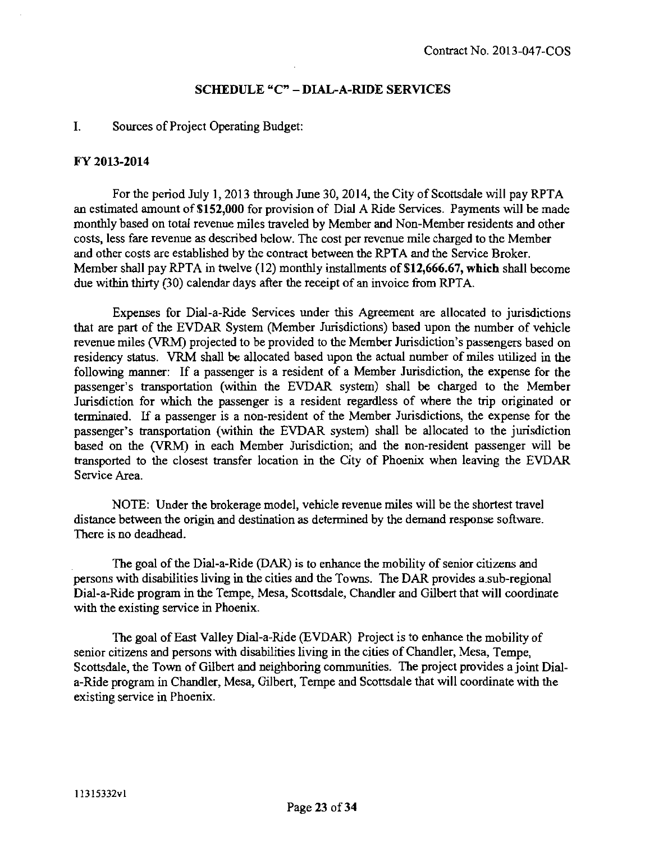## **SCHEDULE "C" - DIAL-A-RIDE SERVICES**

#### **I. Sources of Project Operating Budget:**

#### **FY 2013-2014**

For the period July 1, 2013 through June 30, 2014, the City of Scottsdale will pay RPTA an estimated amount of \$152,000 for provision of Dial A Ride Services. Payments will be made monthly based on total revenue miles traveled by Member and Non-Member residents and other costs, less fare revenue as described below. The cost per revenue mile charged to the Member and other costs are established by the contract between the RPTA and the Service Broker. Member shall pay RPTA in twelve (12) monthly installments of \$12,666,67, which shall become due within thirty (30) calendar days after the receipt of an invoice from RPTA.

Expenses for Dial-a-Ride Services under this Agreement are allocated to jurisdictions that are part of the EVDAR System (Member Jurisdictions) based upon the number of vehicle revenue miles (VRM) projected to be provided to the Member Jurisdiction's passengers based on residency status. VRM shall be allocated based upon the actual number of miles utilized in the following manner: If a passenger is a resident of a Member Jurisdiction, the expense for the passenger's transportation (within the EVDAR system) shall be charged to the Member Jurisdiction for which the passenger is a resident regardless of where the trip originated or terminated. If a passenger is a non-resident of the Member Jurisdictions, the expense for the passenger's transportation (within the EVDAR system) shall be allocated to the jurisdiction based on the (VRM) in each Member Jurisdiction; and the non-resident passenger will be transported to the closest transfer location in the City of Phoenix when leaving the EVDAR Service Area.

NOTE: Under the brokerage model, vehicle revenue miles will be the shortest travel distance between the origin and destination as determined by the demand response software. There is no deadhead.

The goal of the Dial-a-Ride (DAR) is to enhance the mobility of senior citizens and persons with disabilities living in the cities and the Towns. The DAR provides a sub-regional Dial-a-Ride program in the Tempe, Mesa, Scottsdale, Chandler and Gilbert that will coordinate with the existing service in Phoenix.

The goal of East Valley Dial-a-Ride (EVDAR) Project is to enhance the mobility of senior citizens and persons with disabilities living in the cities of Chandler, Mesa, Tempe, Scottsdale, the Town of Gilbert and neighboring communities. The project provides a joint Diala-Ride program in Chandler, Mesa, Gilbert, Tempe and Scottsdale that will coordinate with the existing service in Phoenix.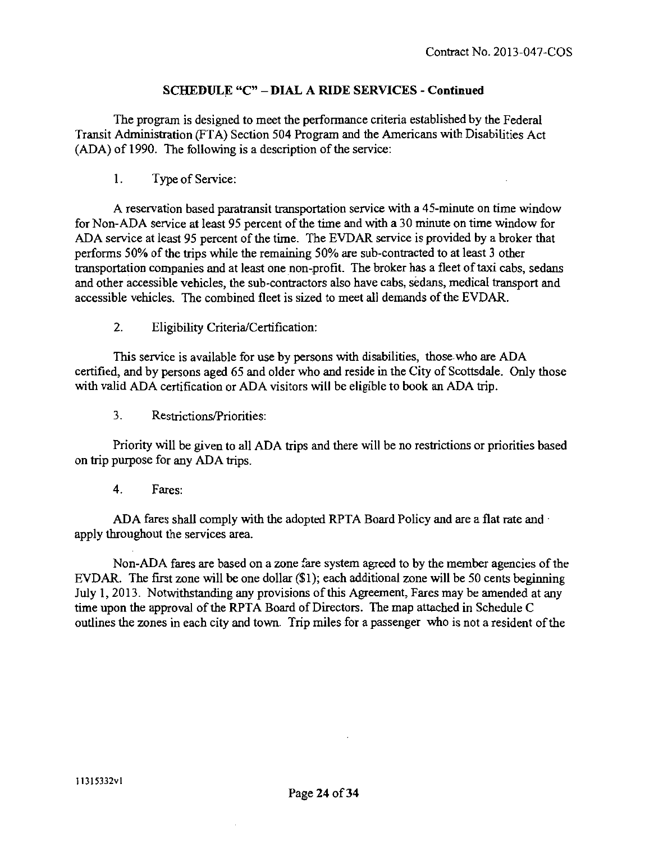# **SCHEDULE "C" - DIAL A RIDE SERVICES - Continued**

The program is designed to meet the performance criteria established by the Federal Transit Administration (FTA) Section 504 Program and the Americans with Disabilities Act (ADA) of 1990. The following is a description of the service:

1. Type of Service:

A reservation based paratransit transportation service with a 45-minute on time window for Non-ADA service at least 95 percent of the time and with a 30 minute on time window for ADA service at least 95 percent of the time. The EVDAR service is provided by a broker that performs 50% of the trips while the remaining 50% are sub-contracted to at least 3 other transportation companies and at least one non-profit. The broker has a fleet of taxi cabs, sedans and other accessible vehicles, the sub-contractors also have cabs, sedans, medical transport and accessible vehicles. The combined fleet is sized to meet all demands ofthe EVDAR.

2. Eligibility Criteria/Certification:

This service is available for use by persons with disabilities, those who are ADA certified, and by persons aged 65 and older who and reside in the City of Scottsdale. Only those with valid ADA certification or ADA visitors will be eligible to book an ADA trip.

3. Restrictions/Priorities:

Priority will be given to all ADA trips and there will be no restrictions or priorities based on trip purpose for any ADA trips.

4. Fares:

ADA fares shall comply with the adopted RPTA Board Policy and are a flat rate and apply throughout the services area.

Non-ADA fares are based on a zone fare system agreed to by the member agencies of the EVDAR. The first zone will be one dollar (\$1); each additional zone will be 50 cents beginning July 1, 2013. Notwithstanding any provisions of this Agreement, Fares may be amended at any time upon the approval of the RPTA Board of Directors. The map attached in Schedule C outiines the zones in each city and town. Trip miles for a passenger who is not a resident of the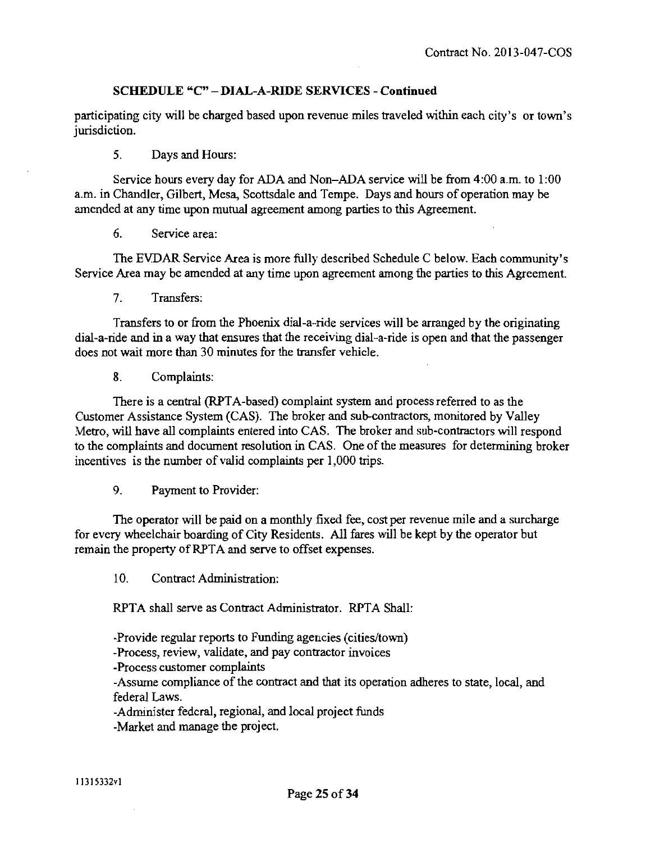# **SCHEDULE «C" - DIAL-A-RIDE SERVICES - Continued**

participating city will be charged based upon revenue miles traveled within each city's or town's jurisdiction.

5. Days and Hours:

Service hours every day for ADA and Non-ADA service will be from 4:00 a.m. to 1:00 a.m. in Chandler, Gilbert, Mesa, Scottsdale and Tempe. Days and hours of operation may be amended at any time upon mutual agreement among parties to this Agreement.

6. Service area:

The EVDAR Service Area is more fiilly described Schedule C below. Each community's Service Area may be amended at any time upon agreement among fhe parties to this Agreement.

7. Transfers:

Transfers to or from the Phoenix dial-a-ride services will be arranged by the originating dial-a-ride and in a way that ensures that the receiving dial-a-ride is open and that the passenger does not wait more than 30 minutes for the transfer vehicle.

8. Complaints:

There is a central (RPTA-based) complaint system and process referred to as the Customer Assistance System (CAS). The broker and sub-contractors, monitored by Valley Metro, will have all complaints entered into CAS. The broker and sub-contractors will respond to the complaints and document resolution in CAS. One of the measures for determining broker incentives is the number of valid complaints per 1,000 trips.

9. Payment to Provider:

The operator will be paid on a monthly fixed fee, cost per revenue mile and a surcharge for every wheelchair boarding of City Residents. All fares will be kept by the operator but remain the property of RPTA and serve to offset expenses.

10. Contract Administration:

RPTA shall serve as Contract Administrator. RPTA Shall:

-Provide regular reports to Funding agencies (cities/town) -Process, review, validate, and pay contractor invoices -Process customer complaints -Assume compliance of the contract and that its operation adheres to state, local, and federal Laws. -Administer federal, regional, and local project funds

-Market and manage the project.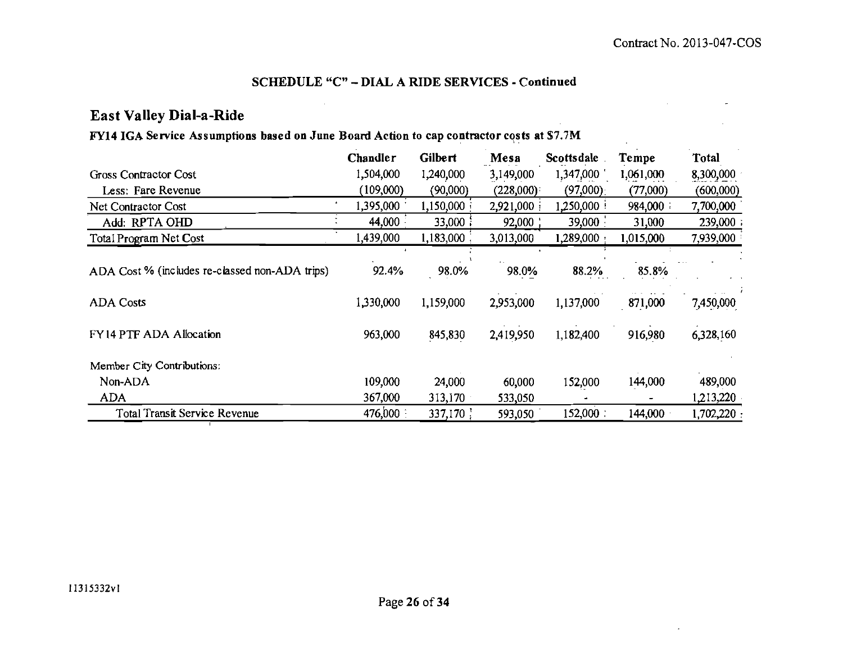# **SCHEDULE "C" - DIAL A RIDE SERVICES - Continued**

# **East Valley Dial-a-Ride**

# **FY14 IGA Service Assumptions based on June Board Action to cap contractor costs at \$7.7M**

|                                                | Chandler  | Gilbert   | Mesa      | Scottsdale  | Tempe     | Total      |
|------------------------------------------------|-----------|-----------|-----------|-------------|-----------|------------|
| Gross Contractor Cost                          | 1,504,000 | 1,240,000 | 3,149,000 | 1,347,000   | 1,061,000 | 8,300,000  |
| Less: Fare Revenue                             | (109,000) | (90,000)  | (228,000) | (97,000)    | (77,000)  | (600,000)  |
| Net Contractor Cost                            | 1,395,000 | 1,150,000 | 2,921,000 | 1,250,000   | 984,000   | 7,700,000  |
| Add: RPTA OHD                                  | 44,000    | 33,000    | 92,000    | 39,000      | 31,000    | 239,000;   |
| Total Program Net Cost                         | 1,439,000 | 1,183,000 | 3,013,000 | 1,289,000   | 1,015,000 | 7,939,000  |
|                                                |           |           |           |             |           |            |
| ADA Cost % (includes re-classed non-ADA trips) | 92.4%     | 98.0%     | 98.0%     | 88.2%       | 85.8%     |            |
| <b>ADA Costs</b>                               | 1,330,000 | 1,159,000 | 2,953,000 | 1,137,000   | 871,000   | 7,450,000  |
| FY14 PTF ADA Allocation                        | 963,000   | 845,830   | 2,419,950 | 1,182,400   | 916,980   | 6,328,160  |
| Member City Contributions:                     |           |           |           |             |           |            |
| Non-ADA                                        | 109,000   | 24,000    | 60,000    | 152,000     | 144,000   | 489,000    |
| <b>ADA</b>                                     | 367,000   | 313,170   | 533,050   |             |           | 1,213,220  |
| Total Transit Service Revenue                  | 476,000 : | 337,170   | 593,050   | $152,000$ : | 144,000   | 1,702,220: |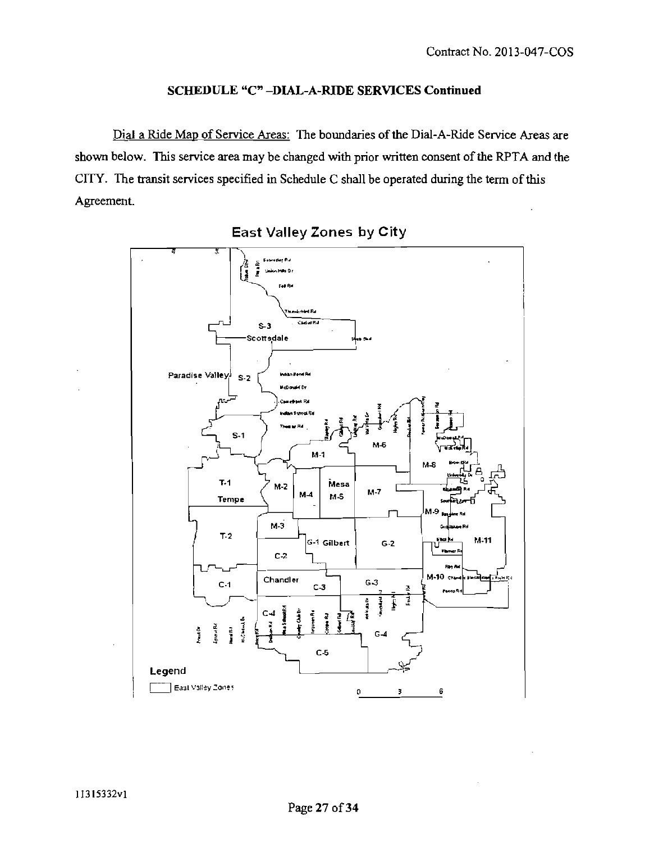## **SCHEDULE "C"-DIAL-A-RIDE SERVICES Continued**

Dial a Ride Map of Service Areas: The boundaries of the Dial-A-Ride Service Areas are shown below. This service area may be changed with prior written consent of the RPTA and the CITY. The transit services specified in Schedule C shall be operated during the term of this Agreement.



East Valley Zones by City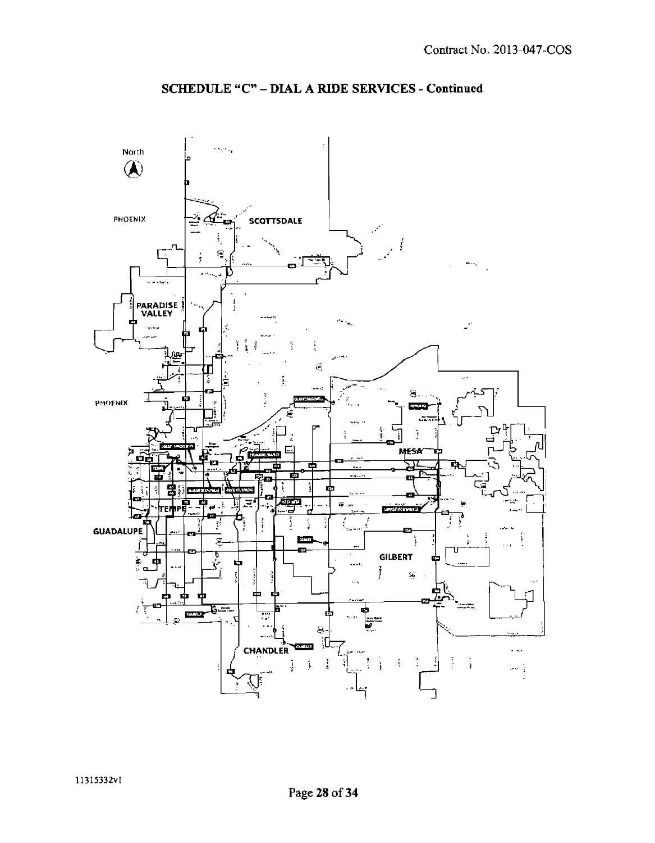

# **SCHEDULE "C" - DIAL A RIDE SERVICES - Continued**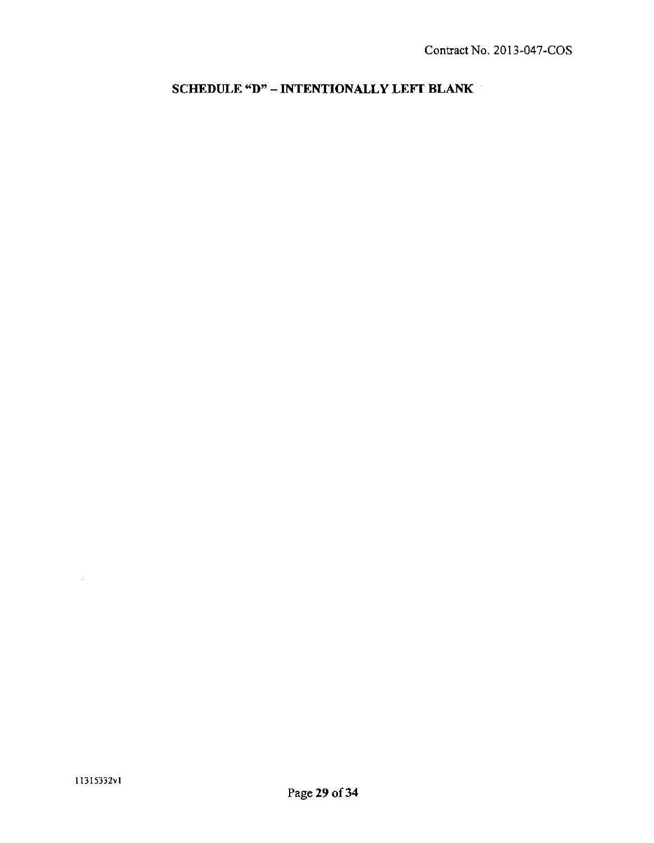**SCHEDULE «D" - INTENTIONALLY LEFT BLANK** 

 $\sim 10^{-10}$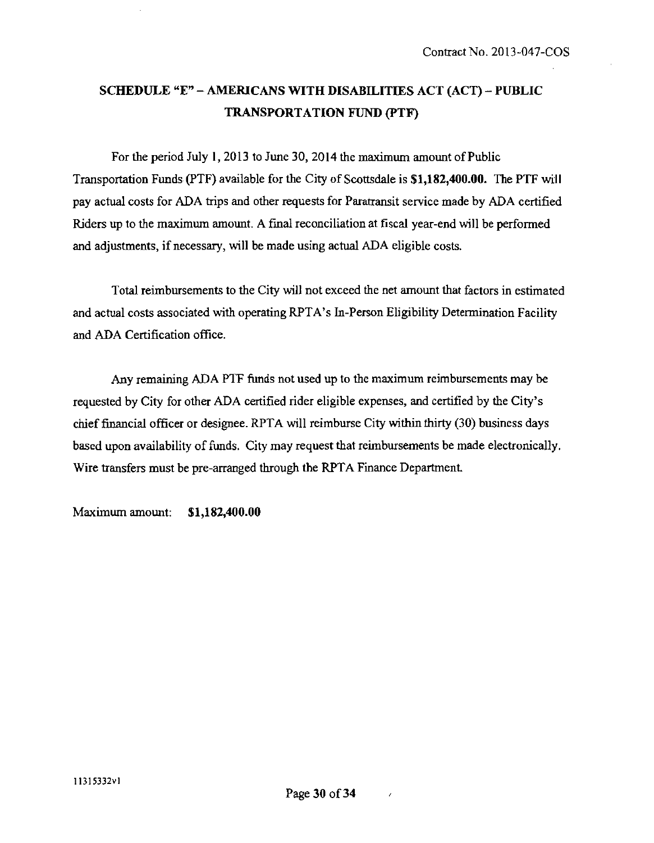# **SCHEDULE "E" - AMERICANS WITH DISABILITIES ACT (ACT) - PUBLIC TRANSPORTATION FUND (PTF)**

For the period July 1,2013 to June 30, 2014 the maximum amount of Public Transportation Funds (PTF) available for the City of Scottsdale is \$1,182,400.00. The PTF will pay actual costs for ADA trips and other requests for Paratransit service made by ADA certified Riders up to the maximum amount. A final reconciliation at fiscal year-end will be performed and adjustments, if necessary, will be made using actual ADA eligible costs.

Total reimbursements to the City will not exceed the net amount that factors in estimated and actual costs associated with operating RPTA's In-Person Eligibility Determination Facility and ADA Certification office.

Any remaining ADA PTF funds not used up to the maximum reimbursements may be requested by City for other ADA certified rider eligible expenses, and certified by the City's chief financial officer or designee. RPTA will reimburse City within thirty (30) business days based upon availability of funds. City may request that reimbursements be made electronically. Wire transfers must be pre-arranged through the RPTA Finance Department.

**Maximum amount: \$1,182,400.00**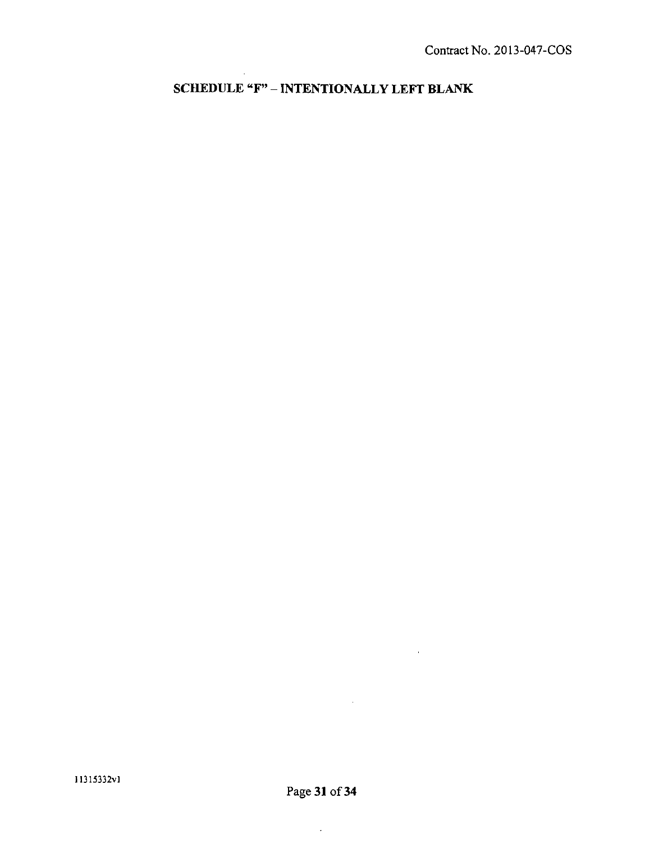**SCHEDULE «F" - INTENTIONALLY LEFT BLANK**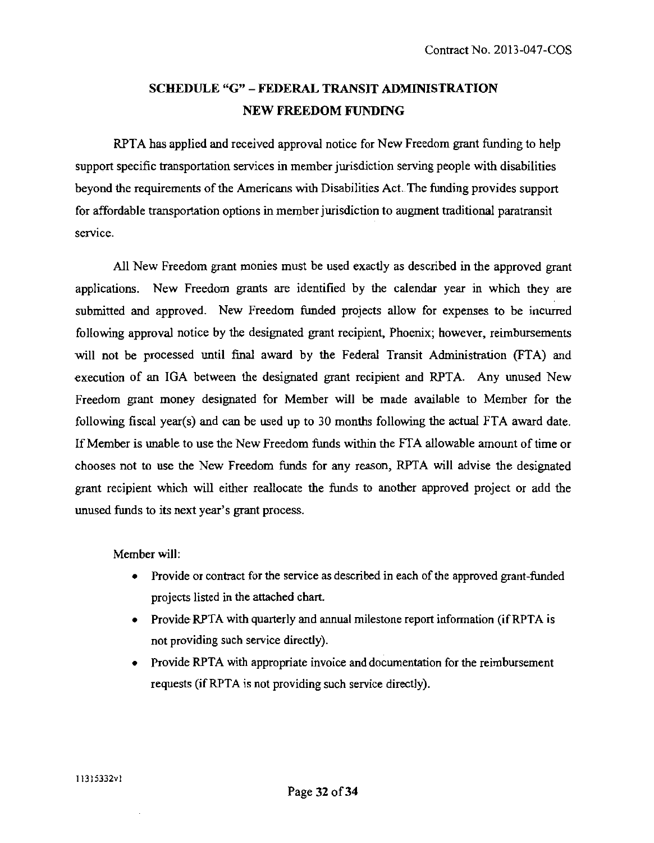# **SCHEDULE "G" - FEDERAL TRANSIT ADMINISTRATION NEW FREEDOM FUNDING**

RPTA has applied and received approval notice for New Freedom grant fimding to help support specific transportation services in member jurisdiction serving people with disabilities beyond the requirements of the Americans with Disabilities Act. The funding provides support for affordable transportation options in member jurisdiction to augment traditional paratransit service.

All New Freedom grant monies must be used exactiy as described in the approved grant applications. New Freedom grants are identified by the calendar year in which they are submitted and approved. New Freedom fimded projects allow for expenses to be incurred following approval notice by the designated grant recipient, Phoenix; however, reimbursements will not be processed until final award by the Federal Transit Administration (FTA) and execution of an IGA between the designated grant recipient and RPTA. Any imused New Freedom grant money designated for Member will be made available to Member for the following fiscal year(s) and can be used up to 30 months following the actual FTA award date. If Member is unable to use the New Freedom fimds vwthin the FTA allowable amount of time or chooses not to use the New Freedom fimds for any reason, RPTA will advise the designated grant recipient which will either reallocate the fimds to another approved project or add the unused fimds to its next year's grant process.

#### Member will:

- Provide or contract for the service as described in each of the approved grant-funded projects listed in the attached chart.
- Provide RPTA with quarterly and annual milestone report information (if RPTA is not providing such service directly).
- Provide RPTA with appropriate invoice and documentation for the reimbursement requests (if RPTA is not providing such service directiy).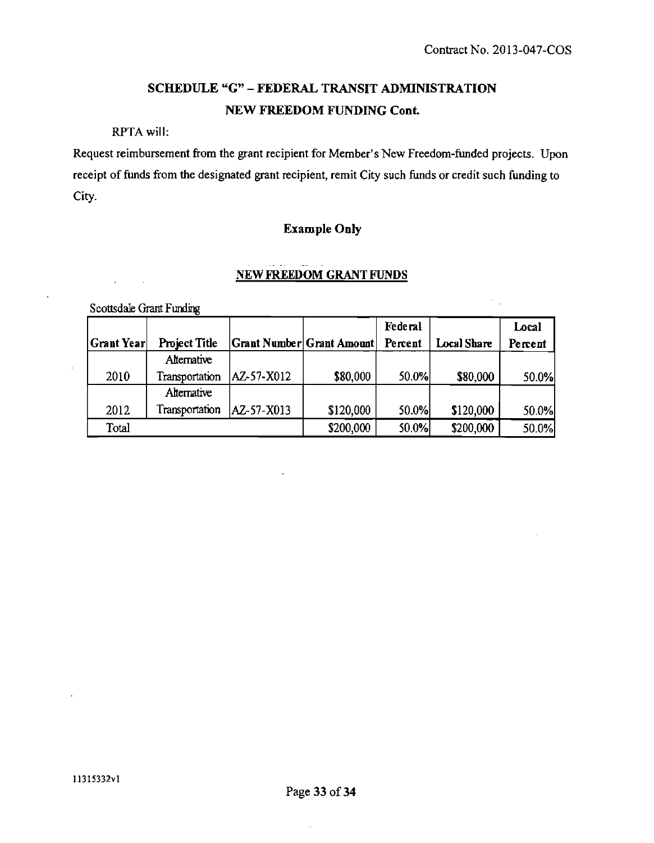$\mathcal{C}_{\mathcal{A}^{\prime}}$ 

# **SCHEDULE "G" - FEDERAL TRANSIT ADMINISTRATION NEW FREEDOM FUNDING Cont.**

RPTA will:

Request reimbursement from the grant recipient for Member's New Freedom-funded projects. Upon receipt of funds from the designated grant recipient, remit City such funds or credit such funding to City.

# **Example Only**

# **NEW FREEDOM GRANT FUNDS**

Scottsdale Grant Funding

 $\mathcal{L}$ 

 $\mathbf{r}$ 

|            |                      |                |                                  | Federal |             | Local   |
|------------|----------------------|----------------|----------------------------------|---------|-------------|---------|
| Grant Year | <b>Project Title</b> |                | <b>Grant Number Grant Amount</b> | Percent | Local Share | Percent |
|            | Alternative          |                |                                  |         |             |         |
| 2010       | Transportation       | AZ-57-X012     | \$80,000                         | 50.0%   | \$80,000    | 50.0%   |
|            | Alternative          |                |                                  |         |             |         |
| 2012       | Transportation       | $ AZ-57-X013 $ | \$120,000                        | 50.0%   | \$120,000   | 50.0%   |
| Total      |                      |                | \$200,000                        | 50.0%   | \$200,000   | 50.0%   |

 $\ddot{\phantom{a}}$ 

 $\bar{\mathcal{A}}$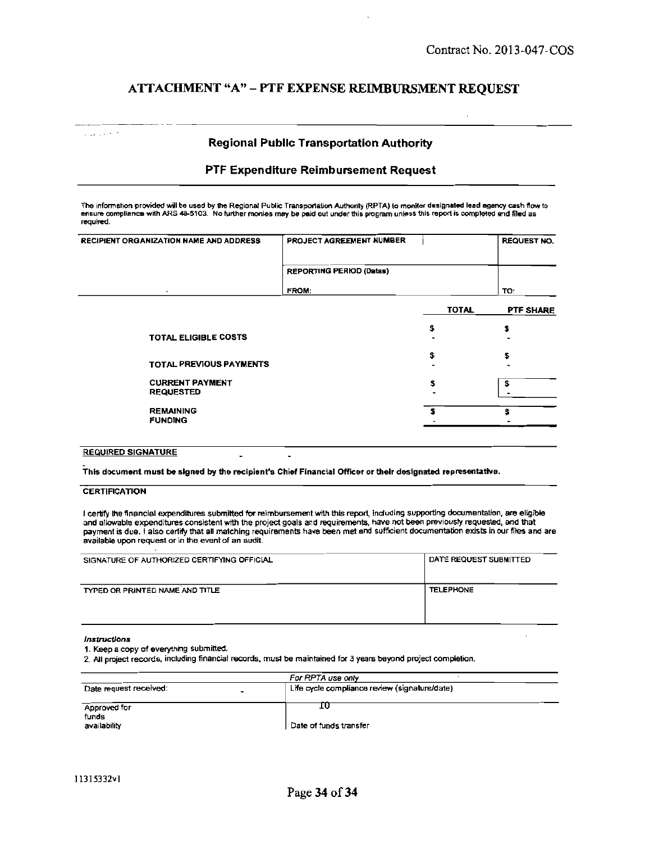## **ATTACHMENT "A" - PTF EXPENSE REIMBURSMENT REQUEST**

#### **Regional Public Transportation Authority**

#### **PTF Expenditure Reimbursement Request**

The information provided will be used by the Regional Public Transportation Authority (RPTA) to monitor designated lead agency cash flow to ensure compliance with ARS 48-5103. No further monies may be paid out under this program unless this report is completed and filed as required.

| PROJECT AGREEMENT NUMBER        |              | <b>REQUEST NO.</b> |
|---------------------------------|--------------|--------------------|
| <b>REPORTING PERIOD (Dates)</b> |              |                    |
| FROM:                           |              | TO:                |
|                                 | <b>TOTAL</b> | PTF SHARE          |
|                                 | S            | s                  |
|                                 | S            | \$                 |
|                                 | s            | \$                 |
|                                 |              | ŝ                  |
|                                 |              |                    |

#### REQUIRED SIGNATURE

This documsnt must be signed by the recipient's Chief Financial Officer or their designated representative.

#### **CERTIFICATION**

 $\mathcal{L}_{\text{max}}$  ,  $\mathcal{L}_{\text{max}}$  ,  $\mathcal{L}_{\text{max}}$ 

I certify the financial expenditures submitted for reimbursement with this report, including supporting documentation, are eligible and allowable expenditures consistent with the project goals and requirements, have not been previously requested, and that payment is due. I also certify that all matching requirements have been met and sufficient documentation exists in our files and are available upon request or in the event of an audit.

| SIGNATURE OF AUTHORIZED CERTIFYING OFFICIAL | DATE REQUEST SUBMITTED |
|---------------------------------------------|------------------------|
| TYPED OR PRINTED NAME AND TITLE             | <b>TELEPHONE</b>       |

#### /nstruct/ons

1. Keep a copy of everything submitted.

2. All project records, including financial records, must be maintained for 3 years beyond project completton.

| For RPTA use only                             |
|-----------------------------------------------|
| Life cycle compliance review (signature/date) |
|                                               |
|                                               |
|                                               |
| Date of funds transfer                        |
|                                               |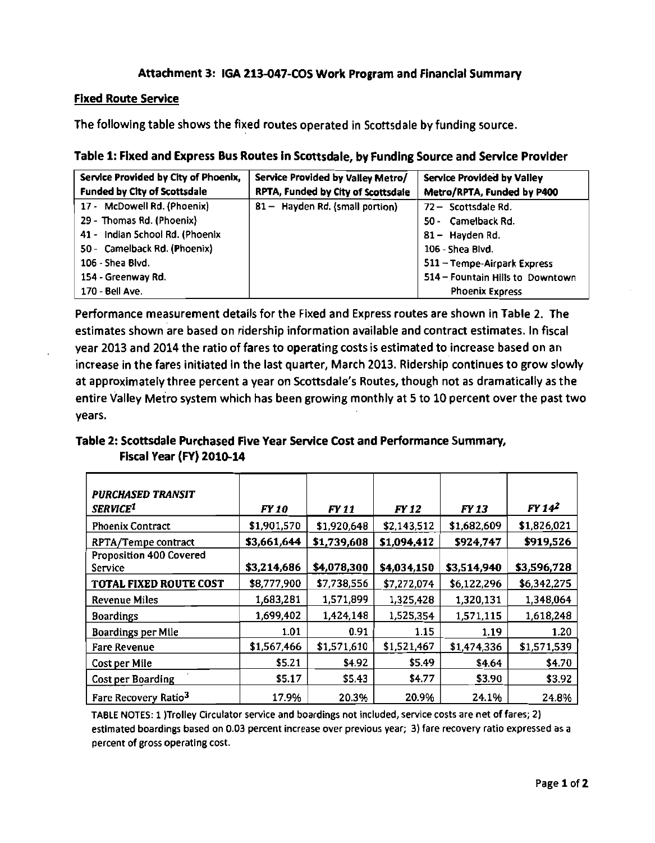## **Attachment 3: IGA 213-047-COS Work Program and Financial Summary**

#### **Fixed Route Service**

**The following table shows the fixed routes operated in Scottsdale by funding source.** 

|  | Table 1: Fixed and Express Bus Routes in Scottsdale, by Funding Source and Service Provider |
|--|---------------------------------------------------------------------------------------------|

| Service Provided by City of Phoenix, | Service Provided by Valley Metro/  | Service Provided by Valley       |
|--------------------------------------|------------------------------------|----------------------------------|
| <b>Funded by City of Scottsdale</b>  | RPTA, Funded by City of Scottsdale | Metro/RPTA, Funded by P400       |
| 17 - McDowell Rd. (Phoenix)          | 81 - Hayden Rd. (small portion)    | 72 - Scottsdale Rd.              |
| 29 - Thomas Rd. (Phoenix)            |                                    | 50 - Camelback Rd.               |
| 41 - Indian 5chool Rd. (Phoenix      |                                    | 81 - Hayden Rd.                  |
| 50 - Camelback Rd. (Phoenix)         |                                    | 106 - Shea Blvd.                 |
| 106 - Shea Blvd.                     |                                    | 511 - Tempe-Airpark Express      |
| 154 - Greenway Rd.                   |                                    | 514 - Fountain Hills to Downtown |
| 170 - Bell Ave.                      |                                    | <b>Phoenix Express</b>           |

**Performance measurement details for the Fixed and Express routes are shown in Table 2. The estimates shown are based on ridership information available and contract estimates, in fiscal year 2013 and 2014 the ratio of fares to operating costs is estimated to increase based on an increase in the fares initiated in the last quarter, March 2013. Ridership continues to grow slowly at approximately three percent a year on Scottsdale's Routes, though not as dramatically as the entire Valley Metro system which has been growing monthly at 5 to 10 percent over the past two years.** 

# **Table 2: Scottsdale Purchased Five Year Service Cost and Performance Summary, Fiscal Year (FY) 2010-14**

| <b>PURCHASED TRANSIT</b><br>SERVICE <sup>1</sup> | FY 10       | <b>FY 11</b> | <b>FY 12</b> | <b>FY 13</b> | FY 14 <sup>2</sup> |
|--------------------------------------------------|-------------|--------------|--------------|--------------|--------------------|
| <b>Phoenix Contract</b>                          | \$1,901,570 | \$1,920,648  | \$2,143,512  | \$1,682,609  | \$1,826,021        |
| RPTA/Tempe contract                              | \$3,661,644 | \$1,739,608  | \$1,094,412  | \$924,747    | \$919,526          |
| <b>Proposition 400 Covered</b><br>Service        | \$3,214,686 | \$4,078,300  | \$4,034,150  | \$3,514,940  | \$3,596,728        |
| <b>TOTAL FIXED ROUTE COST</b>                    | \$8,777,900 | \$7,738,556  | \$7,272,074  | \$6,122,296  | \$6,342,275        |
| <b>Revenue Miles</b>                             | 1,683,281   | 1,571,899    | 1,325,428    | 1,320,131    | 1,348,064          |
| <b>Boardings</b>                                 | 1,699,402   | 1,424,148    | 1,525,354    | 1,571,115    | 1,618,248          |
| Boardings per Mile                               | 1.01        | 0.91         | 1.15         | 1.19         | 1.20               |
| <b>Fare Revenue</b>                              | \$1,567,466 | \$1,571,610  | \$1,521,467  | \$1,474,336  | \$1,571,539        |
| Cost per Mile                                    | \$5.21      | \$4.92       | \$5.49       | \$4.64       | \$4.70             |
| Cost per Boarding                                | \$5.17      | \$5.43       | \$4.77       | \$3.90       | \$3.92             |
| Fare Recovery Ratio <sup>3</sup>                 | 17.9%       | 20.3%        | 20.9%        | 24.1%        | 24.8%              |

TABLE NOTES: 1 )Trolley Circulator service and boardings not included, service costs are net of fares; 2) estimated boardings based on 0.03 percent increase over previous year; 3) fare recovery ratio expressed as a percent of gross operating cost.